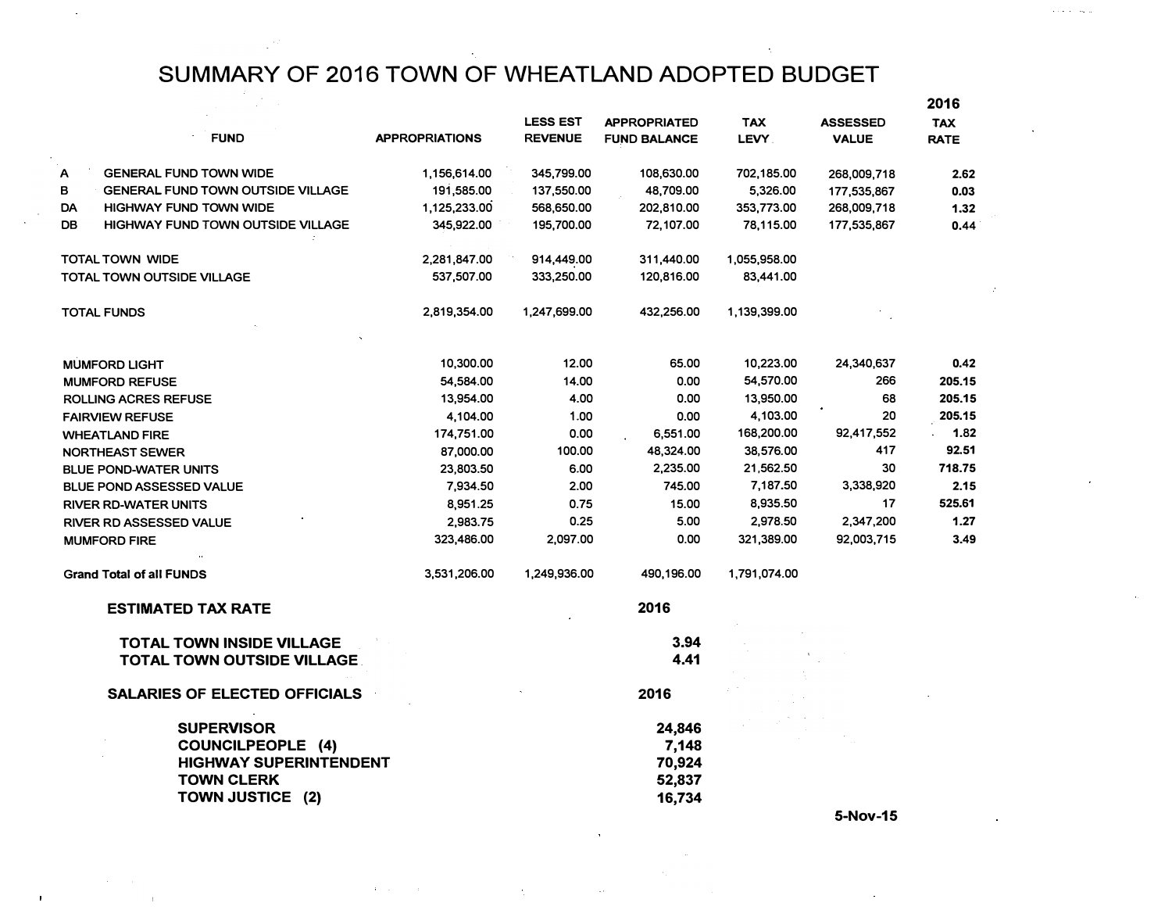SUMMARY OF 2016 TOWN OF WHEATLAND ADOPTED BUDGET

|                                               |                       |                 |                     |              |                 | 2016        |
|-----------------------------------------------|-----------------------|-----------------|---------------------|--------------|-----------------|-------------|
|                                               |                       | <b>LESS EST</b> | <b>APPROPRIATED</b> | <b>TAX</b>   | <b>ASSESSED</b> | <b>TAX</b>  |
| <b>FUND</b>                                   | <b>APPROPRIATIONS</b> | <b>REVENUE</b>  | <b>FUND BALANCE</b> | LEVY.        | <b>VALUE</b>    | <b>RATE</b> |
| Α<br><b>GENERAL FUND TOWN WIDE</b>            | 1,156,614.00          | 345,799.00      | 108,630.00          | 702,185.00   | 268,009,718     | 2.62        |
| в<br><b>GENERAL FUND TOWN OUTSIDE VILLAGE</b> | 191,585.00            | 137,550.00      | 48,709.00           | 5,326.00     | 177,535,867     | 0.03        |
| DA<br><b>HIGHWAY FUND TOWN WIDE</b>           | 1,125,233.00          | 568,650.00      | 202,810.00          | 353,773.00   | 268,009,718     | 1.32        |
| DB<br>HIGHWAY FUND TOWN OUTSIDE VILLAGE       | 345,922.00            | 195,700.00      | 72,107.00           | 78,115.00    | 177,535,867     | 0.44        |
| <b>TOTAL TOWN WIDE</b>                        | 2,281,847.00          | 914,449.00      | 311,440.00          | 1,055,958.00 |                 |             |
| <b>TOTAL TOWN OUTSIDE VILLAGE</b>             | 537,507.00            | 333,250.00      | 120,816.00          | 83,441.00    |                 |             |
| <b>TOTAL FUNDS</b>                            | 2,819,354.00          | 1,247,699.00    | 432,256.00          | 1,139,399.00 |                 |             |
| <b>MUMFORD LIGHT</b>                          | 10,300.00             | 12.00           | 65.00               | 10,223.00    | 24,340,637      | 0.42        |
| <b>MUMFORD REFUSE</b>                         | 54,584.00             | 14.00           | 0.00                | 54,570.00    | 266             | 205.15      |
| ROLLING ACRES REFUSE                          | 13,954.00             | 4.00            | 0.00                | 13,950.00    | 68              | 205.15      |
| <b>FAIRVIEW REFUSE</b>                        | 4,104.00              | 1.00            | 0.00                | 4,103.00     | 20              | 205.15      |
| <b>WHEATLAND FIRE</b>                         | 174,751.00            | 0.00            | 6,551.00            | 168,200.00   | 92,417,552      | 1.82        |
| <b>NORTHEAST SEWER</b>                        | 87,000.00             | 100.00          | 48,324.00           | 38,576.00    | 417             | 92.51       |
| <b>BLUE POND-WATER UNITS</b>                  | 23,803.50             | 6.00            | 2,235.00            | 21,562.50    | 30              | 718.75      |
| <b>BLUE POND ASSESSED VALUE</b>               | 7,934.50              | 2.00            | 745.00              | 7,187.50     | 3,338,920       | 2.15        |
| <b>RIVER RD-WATER UNITS</b>                   | 8,951.25              | 0.75            | 15.00               | 8,935.50     | 17              | 525.61      |
| RIVER RD ASSESSED VALUE                       | 2,983.75              | 0.25            | 5.00                | 2,978.50     | 2,347,200       | 1.27        |
| <b>MUMFORD FIRE</b>                           | 323,486.00            | 2,097.00        | 0.00                | 321,389.00   | 92,003,715      | 3.49        |
| <b>Grand Total of all FUNDS</b>               | 3,531,206.00          | 1,249,936.00    | 490,196.00          | 1,791,074.00 |                 |             |
| <b>ESTIMATED TAX RATE</b>                     |                       |                 | 2016                |              |                 |             |
| <b>TOTAL TOWN INSIDE VILLAGE</b>              |                       |                 | 3.94                |              |                 |             |
| <b>TOTAL TOWN OUTSIDE VILLAGE</b>             |                       |                 | 4.41                |              |                 |             |
| <b>SALARIES OF ELECTED OFFICIALS</b>          |                       |                 | 2016                |              |                 |             |
| <b>SUPERVISOR</b>                             |                       |                 |                     |              |                 |             |
| <b>COUNCILPEOPLE (4)</b>                      |                       |                 | 24,846<br>7,148     |              |                 |             |
| <b>HIGHWAY SUPERINTENDENT</b>                 |                       |                 | 70,924              |              |                 |             |
| <b>TOWN CLERK</b>                             |                       |                 | 52,837              |              |                 |             |
| TOWN JUSTICE (2)                              |                       |                 | 16,734              |              |                 |             |
|                                               |                       |                 |                     |              | <b>PAL-</b>     |             |

 $\mathcal{A}^{\mathcal{A}}$ 

**5-Nov-15**

and a strong of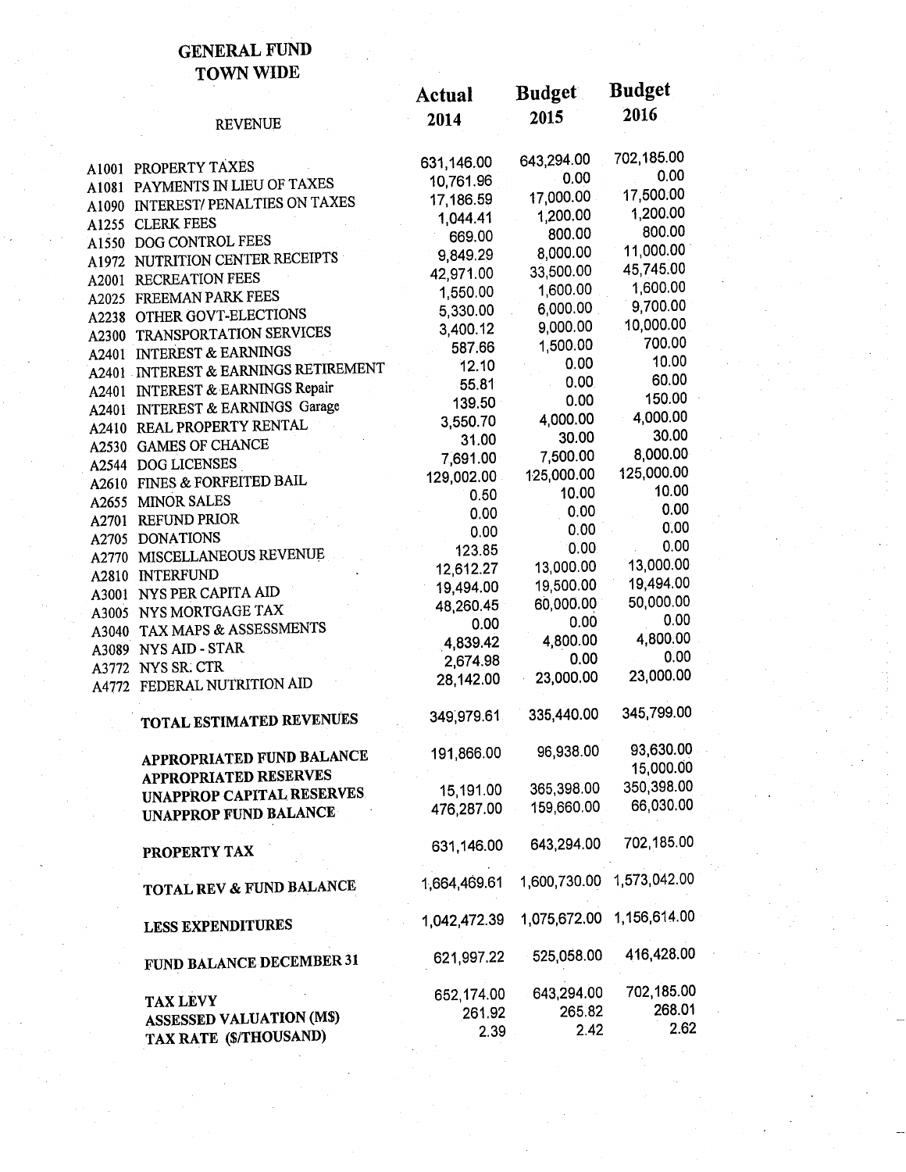#### **GENERAL FUND TOWN WIDE**

|        |                                           | Actual                 | <b>Budget</b>    | <b>Buaget</b>          |
|--------|-------------------------------------------|------------------------|------------------|------------------------|
|        | <b>REVENUE</b>                            | 2014                   | 2015             | 2016                   |
|        |                                           |                        | 643,294.00       | 702,185.00             |
|        | <b>A1001 PROPERTY TAXES</b>               | 631,146.00             | 0.00             | 0.00                   |
|        | <b>A1081 PAYMENTS IN LIEU OF TAXES</b>    | 10,761.96<br>17,186.59 | 17,000.00        | 17,500.00              |
|        | <b>A1090 INTEREST/ PENALTIES ON TAXES</b> |                        | 1,200.00         | 1,200.00               |
|        | A1255 CLERK FEES                          | 1,044.41               | 800.00           | 800.00                 |
|        | A1550 DOG CONTROL FEES                    | 669.00                 | 8,000.00         | 11,000.00              |
|        | A1972 NUTRITION CENTER RECEIPTS           | 9,849.29               | 33,500.00        | 45,745.00              |
|        | <b>A2001 RECREATION FEES</b>              | 42,971.00              | 1,600.00         | 1,600.00               |
|        | A2025 FREEMAN PARK FEES                   | 1,550.00               | 6,000.00         | 9,700.00               |
|        | <b>A2238 OTHER GOVT-ELECTIONS</b>         | 5,330.00               | 9,000.00         | 10,000.00              |
|        | <b>A2300 TRANSPORTATION SERVICES</b>      | 3,400.12               |                  | 700.00                 |
|        | A2401 INTEREST & EARNINGS                 | 587.66                 | 1,500.00<br>0.00 | 10.00                  |
|        | A2401 INTEREST & EARNINGS RETIREMENT      | 12.10                  |                  | 60.00                  |
|        | A2401 INTEREST & EARNINGS Repair          | 55.81                  | 0.00             | 150.00                 |
|        | A2401 INTEREST & EARNINGS Garage          | 139.50                 | 0.00             |                        |
|        | A2410 REAL PROPERTY RENTAL                | 3,550.70               | 4,000.00         | 4,000.00<br>30.00      |
| A2530. | <b>GAMES OF CHANCE</b>                    | 31.00                  | 30.00            |                        |
|        | A2544 DOG LICENSES                        | 7,691.00               | 7,500.00         | 8,000.00               |
|        | A2610 FINES & FORFEITED BAIL              | 129,002.00             | 125,000.00       | 125,000.00             |
|        | A2655 MINOR SALES                         | 0.50                   | 10.00            | 10.00                  |
|        | A2701 REFUND PRIOR                        | 0.00                   | 0.00             | 0.00                   |
|        | A2705 DONATIONS                           | 0.00                   | 0.00             | 0.00                   |
|        | A2770 MISCELLANEOUS REVENUE               | 123.85                 | 0.00             | 0.00                   |
|        | A2810 INTERFUND                           | 12,612.27              | 13,000.00        | 13,000.00              |
|        | A3001 NYS PER CAPITA AID                  | 19,494.00              | 19,500.00        | 19,494.00              |
|        | A3005 NYS MORTGAGE TAX                    | 48,260.45              | 60,000.00        | 50,000.00              |
| A3040  | TAX MAPS & ASSESSMENTS                    | 0.00                   | 0.00             | 0.00                   |
|        | A3089 NYS AID - STAR                      | 4,839.42               | 4,800.00         | 4,800.00               |
| A3772  | NYS SR. CTR                               | 2,674.98               | 0.00             | 0.00                   |
|        | A4772 FEDERAL NUTRITION AID               | 28,142.00              | 23,000.00        | 23,000.00              |
|        | TOTAL ESTIMATED REVENUES                  | 349,979.61             | 335,440.00       | 345,799.00             |
|        |                                           |                        |                  |                        |
|        | <b>APPROPRIATED FUND BALANCE</b>          | 191,866.00             | 96,938.00        | 93,630.00<br>15,000.00 |
|        | <b>APPROPRIATED RESERVES</b>              |                        |                  | 350,398.00             |
|        | UNAPPROP CAPITAL RESERVES                 | 15,191.00              | 365,398.00       | 66,030.00              |
|        | <b>UNAPPROP FUND BALANCE</b>              | 476,287.00             | 159,660.00       |                        |
|        | PROPERTY TAX                              | 631,146.00             | 643,294.00       | 702,185.00             |
|        | TOTAL REV & FUND BALANCE                  | 1,664,469.61           | 1,600,730.00     | 1,573,042.00           |
|        | <b>LESS EXPENDITURES</b>                  | 1,042,472.39           | 1,075,672.00     | 1,156,614.00           |
|        | FUND BALANCE DECEMBER 31                  | 621,997.22             | 525,058.00       | 416,428.00             |
|        | <b>TAX LEVY</b>                           | 652,174.00             | 643,294.00       | 702,185.00             |
|        | <b>ASSESSED VALUATION (MS)</b>            | 261.92                 | 265.82           | 268.01                 |
|        | TAX RATE (\$/THOUSAND)                    | 2.39                   | 2.42             | 2.62                   |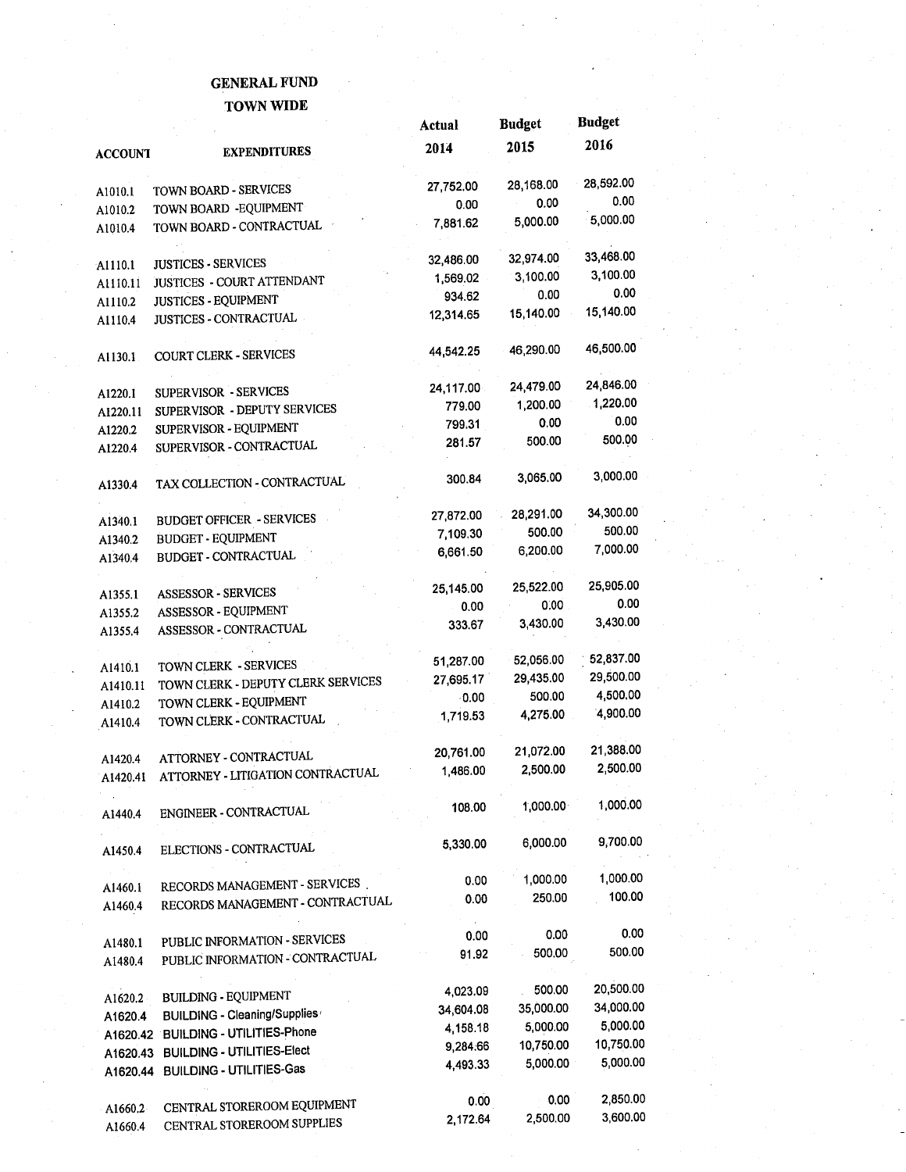#### **GENERAL FUND TOWN WIDE**

|                    |                                                              | Actual    | <b>Budget</b> | <b>Budget</b> |  |
|--------------------|--------------------------------------------------------------|-----------|---------------|---------------|--|
| <b>ACCOUNT</b>     | <b>EXPENDITURES</b>                                          | 2014      | 2015          | 2016          |  |
|                    | TOWN BOARD - SERVICES                                        | 27,752.00 | 28,168.00     | 28,592.00     |  |
| A1010.1            | TOWN BOARD - EQUIPMENT                                       | 0.00      | 0.00          | 0.00          |  |
| A1010.2            | TOWN BOARD - CONTRACTUAL                                     | 7,881.62  | 5,000.00      | 5,000.00      |  |
| A1010.4            |                                                              |           |               |               |  |
| A1110.1            | <b>JUSTICES - SERVICES</b>                                   | 32,486.00 | 32,974.00     | 33,468.00     |  |
| A1110.11           | JUSTICES - COURT ATTENDANT                                   | 1,569.02  | 3,100.00      | 3,100.00      |  |
| A1110.2            | <b>JUSTICES - EQUIPMENT</b>                                  | 934.62    | 0.00          | 0.00          |  |
| A1110.4            | JUSTICES - CONTRACTUAL                                       | 12,314.65 | 15,140.00     | 15,140.00     |  |
| A1130.1            | <b>COURT CLERK - SERVICES</b>                                | 44,542.25 | 46,290.00     | 46,500.00     |  |
|                    |                                                              | 24,117.00 | 24,479.00     | 24,846.00     |  |
| A1220.1            | <b>SUPERVISOR - SERVICES</b><br>SUPERVISOR - DEPUTY SERVICES | 779.00    | 1,200.00      | 1,220.00      |  |
| A1220.11           | SUPERVISOR - EQUIPMENT                                       | 799.31    | 0.00          | 0.00          |  |
| A1220.2<br>A1220.4 | SUPERVISOR - CONTRACTUAL                                     | 281.57    | 500.00        | 500.00        |  |
| A1330.4            | TAX COLLECTION - CONTRACTUAL                                 | 300.84    | 3,065.00      | 3,000.00      |  |
|                    |                                                              | 27,872.00 | 28,291.00     | 34,300.00     |  |
| A1340.1            | <b>BUDGET OFFICER - SERVICES</b>                             | 7,109.30  | 500.00        | 500.00        |  |
| A1340.2            | <b>BUDGET - EQUIPMENT</b>                                    | 6,661.50  | 6,200.00      | 7,000.00      |  |
| A1340.4            | <b>BUDGET - CONTRACTUAL</b>                                  |           |               |               |  |
| A1355.1            | <b>ASSESSOR - SERVICES</b>                                   | 25,145.00 | 25,522.00     | 25,905.00     |  |
| A1355.2            | ASSESSOR - EQUIPMENT                                         | 0.00      | 0.00          | 0.00          |  |
| A1355.4            | ASSESSOR - CONTRACTUAL                                       | 333.67    | 3,430.00      | 3,430.00      |  |
|                    | TOWN CLERK - SERVICES                                        | 51,287.00 | 52,056.00     | 52,837.00     |  |
| A1410.1            | TOWN CLERK - DEPUTY CLERK SERVICES                           | 27,695.17 | 29,435.00     | 29,500.00     |  |
| A1410.11           | TOWN CLERK - EQUIPMENT                                       | $-0.00$   | 500.00        | 4,500.00      |  |
| A1410.2<br>A1410.4 | TOWN CLERK - CONTRACTUAL                                     | 1,719.53  | 4,275.00      | 4,900.00      |  |
|                    |                                                              |           |               |               |  |
| A1420.4            | ATTORNEY - CONTRACTUAL                                       | 20,761.00 | 21,072.00     | 21,388.00     |  |
| A1420.41           | ATTORNEY - LITIGATION CONTRACTUAL                            | 1,486.00  | 2,500.00      | 2,500.00      |  |
| A1440.4            | ENGINEER - CONTRACTUAL                                       | 108.00    | 1,000.00      | 1,000.00      |  |
| A1450.4            | ELECTIONS - CONTRACTUAL                                      | 5,330.00  | 6,000.00      | 9,700.00      |  |
|                    |                                                              | 0.00      | 1,000.00      | 1,000.00      |  |
| A1460.1            | RECORDS MANAGEMENT - SERVICES.                               | 0.00      | 250.00        | 100.00        |  |
| A1460.4            | RECORDS MANAGEMENT - CONTRACTUAL                             |           |               |               |  |
| A1480.1            | PUBLIC INFORMATION - SERVICES                                | 0.00      | 0.00          | 0.00          |  |
| A1480.4            | PUBLIC INFORMATION - CONTRACTUAL                             | 91.92     | 500.00        | 500.00        |  |
| A1620.2            | <b>BUILDING - EQUIPMENT</b>                                  | 4,023.09  | 500.00        | 20,500.00     |  |
| A1620.4            | BUILDING - Cleaning/Supplies                                 | 34,604.08 | 35,000.00     | 34,000.00     |  |
|                    | A1620.42 BUILDING - UTILITIES-Phone                          | 4,158.18  | 5,000.00      | 5,000.00      |  |
|                    | A1620.43 BUILDING - UTILITIES-Elect                          | 9,284.66  | 10,750.00     | 10,750.00     |  |
|                    | A1620.44 BUILDING - UTILITIES-Gas                            | 4,493.33  | 5,000.00      | 5,000.00      |  |
|                    |                                                              | 0.00      | 0.00          | 2,850.00      |  |
| A1660.2            | CENTRAL STOREROOM EQUIPMENT                                  | 2,172.64  | 2,500.00      | 3,600.00      |  |
| A1660.4            | CENTRAL STOREROOM SUPPLIES                                   |           |               |               |  |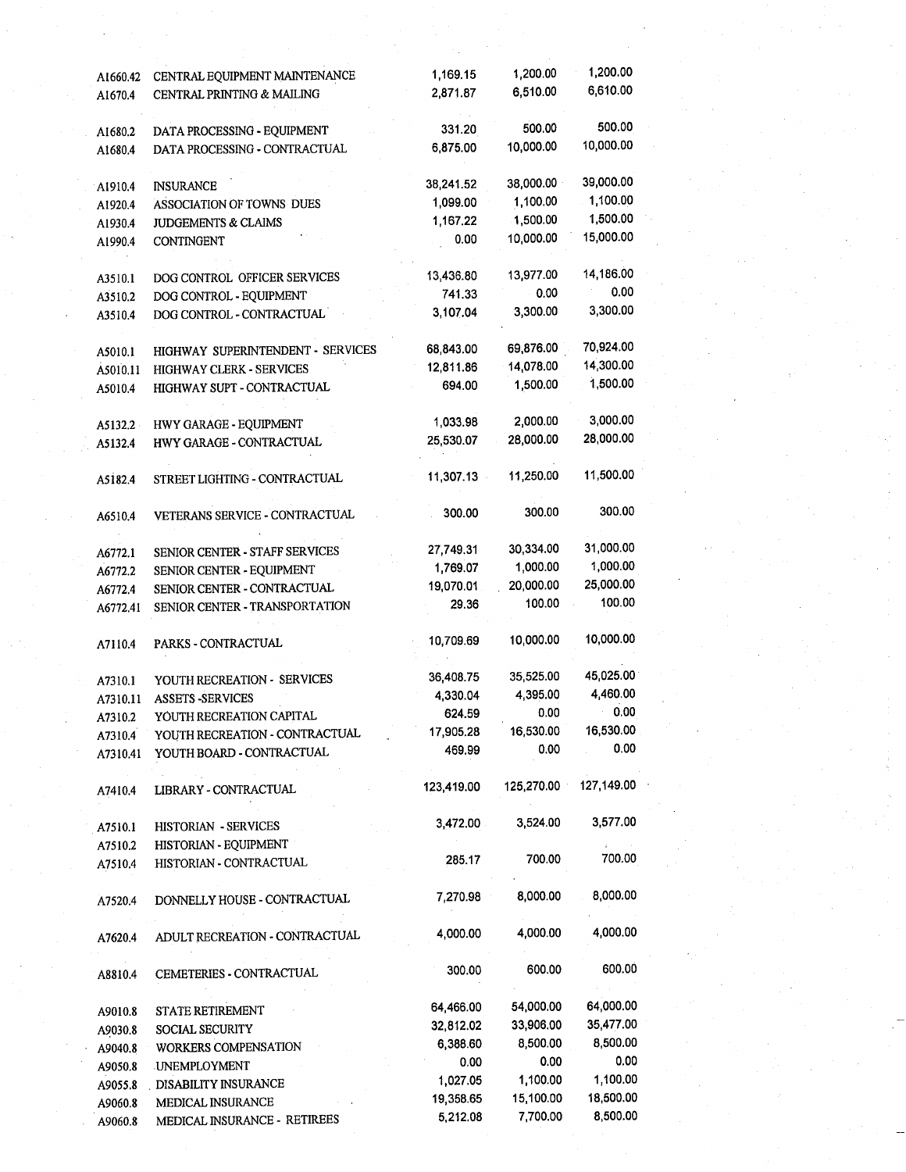| A1660.42 | CENTRAL EQUIPMENT MAINTENANCE     | 1,169.15   | 1,200.00   | 1,200.00   |
|----------|-----------------------------------|------------|------------|------------|
| A1670.4  | CENTRAL PRINTING & MAILING        | 2,871.87   | 6,510.00   | 6,610.00   |
|          |                                   |            |            |            |
| A1680.2  | DATA PROCESSING - EQUIPMENT       | 331.20     | 500.00     | 500.00     |
| A1680.4  | DATA PROCESSING - CONTRACTUAL     | 6,875.00   | 10,000.00  | 10,000.00  |
|          |                                   |            |            |            |
| A1910.4  | <b>INSURANCE</b>                  | 38,241.52  | 38,000.00  | 39,000.00  |
| A1920.4  | ASSOCIATION OF TOWNS DUES         | 1,099.00   | 1,100.00   | 1,100.00   |
|          | <b>JUDGEMENTS &amp; CLAIMS</b>    | 1,167.22   | 1,500.00   | 1,500.00   |
| A1930.4  |                                   | 0.00       | 10,000.00  | 15,000.00  |
| A1990.4  | CONTINGENT                        |            |            |            |
|          |                                   | 13,436.80  | 13,977.00  | 14,186.00  |
| A3510.1  | DOG CONTROL OFFICER SERVICES      |            | 0.00       | 0.00       |
| A3510.2  | DOG CONTROL - EQUIPMENT           | 741.33     |            | 3,300.00   |
| A3510.4  | DOG CONTROL - CONTRACTUAL         | 3,107.04   | 3,300.00   |            |
|          |                                   |            |            |            |
| A5010.1  | HIGHWAY SUPERINTENDENT - SERVICES | 68,843.00  | 69,876.00  | 70,924.00  |
| A5010.11 | <b>HIGHWAY CLERK - SERVICES</b>   | 12,811.86  | 14,078.00  | 14,300.00  |
| A5010.4  | HIGHWAY SUPT - CONTRACTUAL        | 694.00     | 1,500.00   | 1,500.00   |
|          |                                   |            |            |            |
| A5132.2  | HWY GARAGE - EQUIPMENT            | 1,033.98   | 2,000.00   | 3,000.00   |
| A5132.4  | HWY GARAGE - CONTRACTUAL          | 25,530.07  | 28,000.00  | 28,000.00  |
|          |                                   |            |            |            |
| A5182.4  | STREET LIGHTING - CONTRACTUAL     | 11,307.13  | 11,250.00  | 11,500.00  |
|          |                                   |            |            |            |
| A6510.4  | VETERANS SERVICE - CONTRACTUAL    | 300.00     | 300.00     | 300.00     |
|          |                                   |            |            |            |
| A6772.1  | SENIOR CENTER - STAFF SERVICES    | 27,749.31  | 30,334.00  | 31,000.00  |
| A6772.2  | SENIOR CENTER - EQUIPMENT         | 1,769.07   | 1,000.00   | 1,000.00   |
| A6772.4  | SENIOR CENTER - CONTRACTUAL       | 19,070.01  | 20,000.00  | 25,000.00  |
| A6772.41 | SENIOR CENTER - TRANSPORTATION    | 29.36      | 100.00     | 100.00     |
|          |                                   |            |            |            |
| A7110.4  | PARKS - CONTRACTUAL               | 10,709.69  | 10,000.00  | 10,000.00  |
|          |                                   |            |            |            |
| A7310.1  | YOUTH RECREATION - SERVICES       | 36,408.75  | 35,525.00  | 45,025.00  |
| A7310.11 | <b>ASSETS -SERVICES</b>           | 4,330.04   | 4,395.00   | 4,460.00   |
| A7310.2  | YOUTH RECREATION CAPITAL          | 624.59     | 0.00       | 0.00       |
| A7310.4  | YOUTH RECREATION - CONTRACTUAL    | 17,905.28  | 16,530.00  | 16,530.00  |
| A7310.41 | YOUTH BOARD - CONTRACTUAL         | 469.99     | 0.00       | 0.00       |
|          |                                   |            |            |            |
|          | LIBRARY - CONTRACTUAL             | 123,419.00 | 125,270.00 | 127,149.00 |
| A7410.4  |                                   |            |            |            |
|          | HISTORIAN - SERVICES              | 3,472.00   | 3,524.00   | 3,577.00   |
| A7510.1  |                                   |            |            |            |
| A7510.2  | HISTORIAN - EQUIPMENT             | 285.17     | 700.00     | 700.00     |
| A7510.4  | HISTORIAN - CONTRACTUAL           |            |            |            |
|          |                                   | 7,270.98   | 8,000.00   | 8,000.00   |
| A7520.4  | DONNELLY HOUSE - CONTRACTUAL      |            |            |            |
|          |                                   |            | 4,000.00   | 4,000.00   |
| A7620.4  | ADULT RECREATION - CONTRACTUAL    | 4,000.00   |            |            |
|          |                                   |            |            |            |
| A8810.4  | CEMETERIES - CONTRACTUAL          | 300.00     | 600.00     | 600.00     |
|          |                                   |            |            |            |
| A9010.8  | <b>STATE RETIREMENT</b>           | 64,466.00  | 54,000.00  | 64,000.00  |
| A9030.8  | <b>SOCIAL SECURITY</b>            | 32,812.02  | 33,906.00  | 35,477.00  |
| A9040.8  | WORKERS COMPENSATION              | 6,388.60   | 8,500.00   | 8,500.00   |
| A9050.8  | <b>UNEMPLOYMENT</b>               | 0.00       | 0.00       | 0.00       |
| A9055.8  | <b>DISABILITY INSURANCE</b>       | 1,027.05   | 1,100.00   | 1,100.00   |
| A9060.8  | MEDICAL INSURANCE                 | 19,358.65  | 15,100.00  | 18,500.00  |
| A9060.8  | MEDICAL INSURANCE - RETIREES      | 5,212.08   | 7,700.00   | 8,500.00   |
|          |                                   |            |            |            |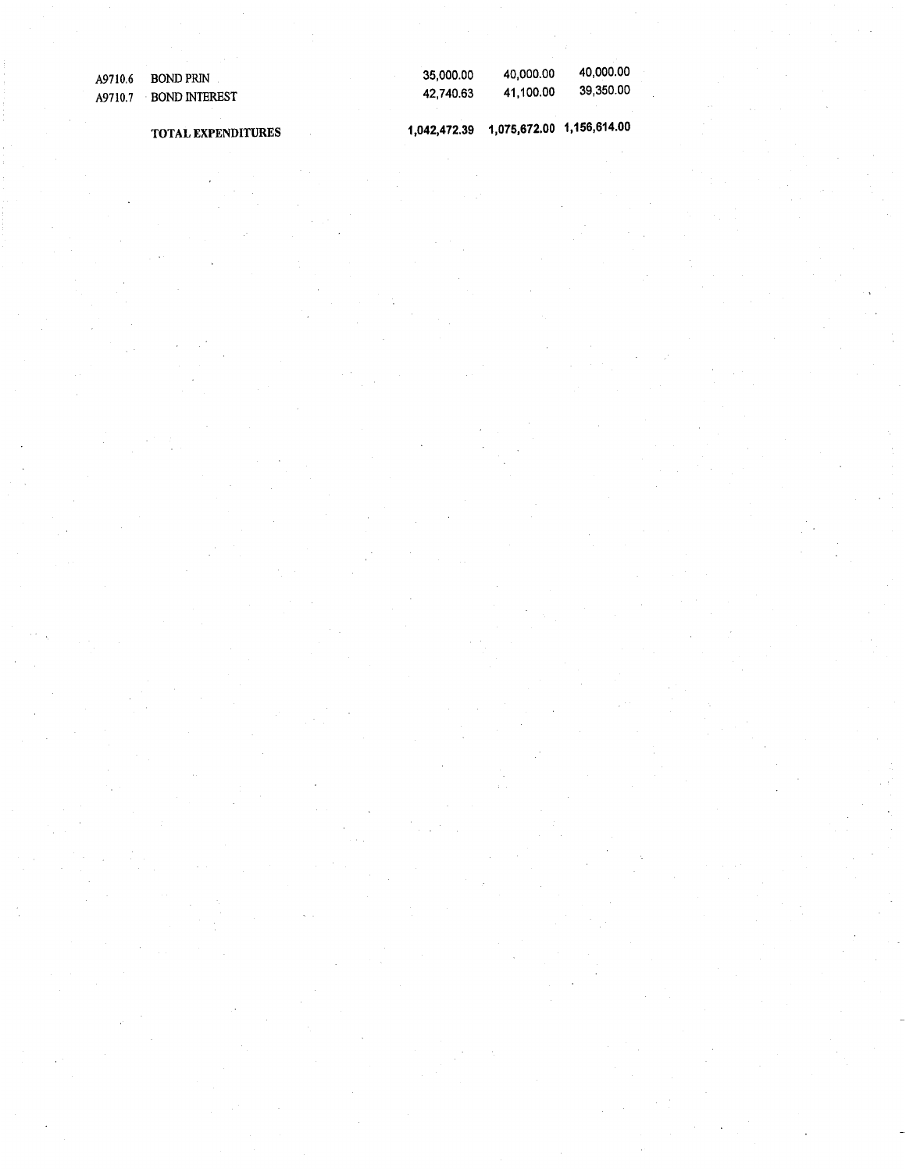| A9710.6 | BOND PRIN             | 35.000.00 | 40.000.00 | 40,000.00 |
|---------|-----------------------|-----------|-----------|-----------|
|         | A9710.7 BOND INTEREST | 42.740.63 | 41.100.00 | 39,350.00 |
|         |                       |           |           |           |

**TOTAL EXPENDITURES**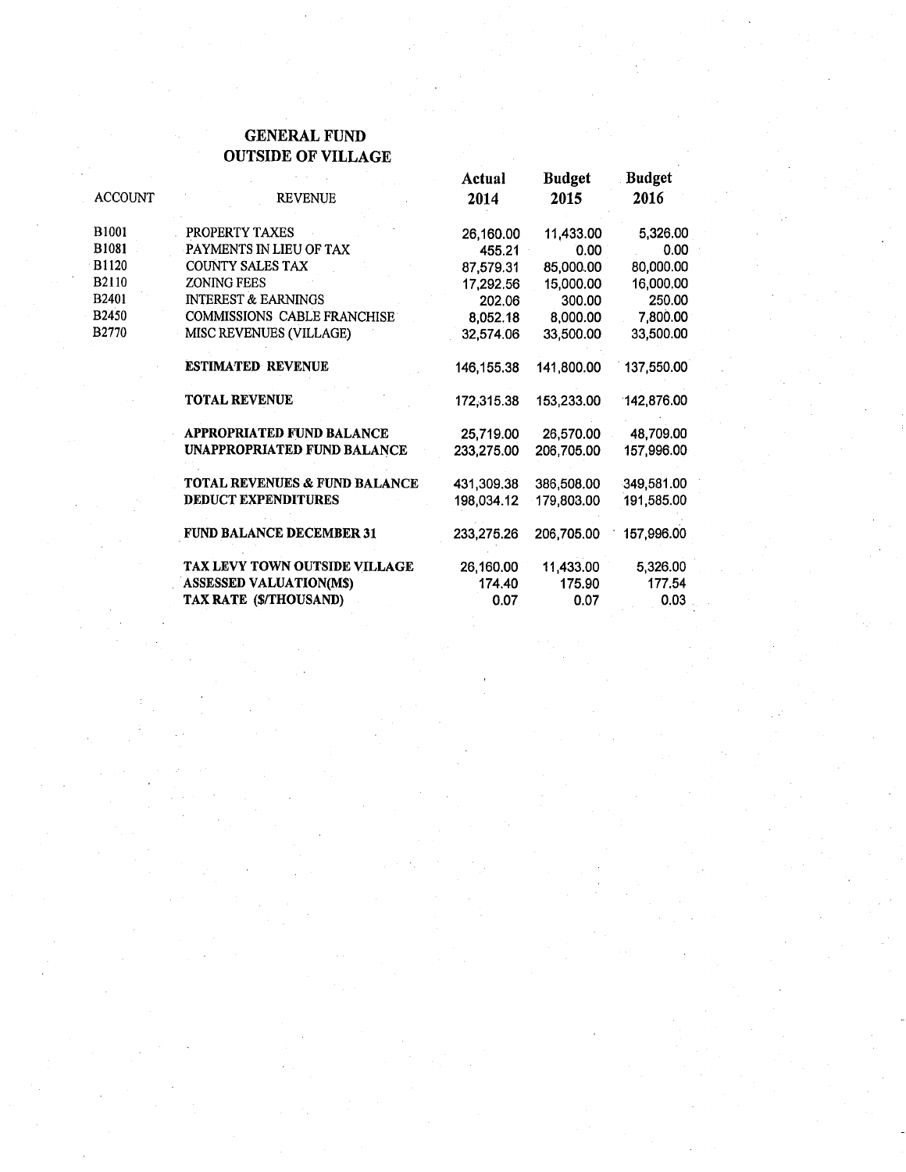#### **GENERAL FUND OUTSIDE OF VILLAGE**

|                   |                                    | Actual     | <b>Budget</b> | <b>Budget</b> |
|-------------------|------------------------------------|------------|---------------|---------------|
| <b>ACCOUNT</b>    | <b>REVENUE</b>                     | 2014       | 2015          | 2016          |
| B <sub>1001</sub> | PROPERTY TAXES                     | 26,160.00  | 11,433.00     | 5,326.00      |
| <b>B1081</b>      | PAYMENTS IN LIEU OF TAX            | 455.21     | 0.00          | 0.00          |
| B1120             | <b>COUNTY SALES TAX</b>            | 87,579.31  | 85,000.00     | 80,000.00     |
| B2110             | <b>ZONING FEES</b>                 | 17,292.56  | 15,000.00     | 16,000.00     |
| B2401             | <b>INTEREST &amp; EARNINGS</b>     | 202.06     | 300.00        | 250.00        |
| B2450             | <b>COMMISSIONS CABLE FRANCHISE</b> | 8,052.18   | 8,000.00      | 7,800.00      |
| <b>B2770</b>      | MISC REVENUES (VILLAGE)            | 32,574.06  | 33,500.00     | 33,500.00     |
|                   | <b>ESTIMATED REVENUE</b>           | 146,155.38 | 141,800.00    | 137,550.00    |
|                   | <b>TOTAL REVENUE</b>               | 172,315.38 | 153,233.00    | 142,876.00    |
|                   | APPROPRIATED FUND BALANCE          | 25,719.00  | 26,570.00     | 48,709.00     |
|                   | UNAPPROPRIATED FUND BALANCE        | 233,275.00 | 206,705.00    | 157,996.00    |
|                   | TOTAL REVENUES & FUND BALANCE      | 431,309.38 | 386,508.00    | 349,581.00    |
|                   | <b>DEDUCT EXPENDITURES</b>         | 198,034.12 | 179,803.00    | 191,585.00    |
|                   | <b>FUND BALANCE DECEMBER 31</b>    | 233,275.26 | 206,705.00    | 157,996.00    |
|                   | TAX LEVY TOWN OUTSIDE VILLAGE      | 26,160.00  | 11,433.00     | 5,326.00      |
|                   | <b>ASSESSED VALUATION(M\$)</b>     | 174.40     | 175.90        | 177.54        |
|                   | TAX RATE (\$/THOUSAND)             | 0.07       | 0.07          | 0.03          |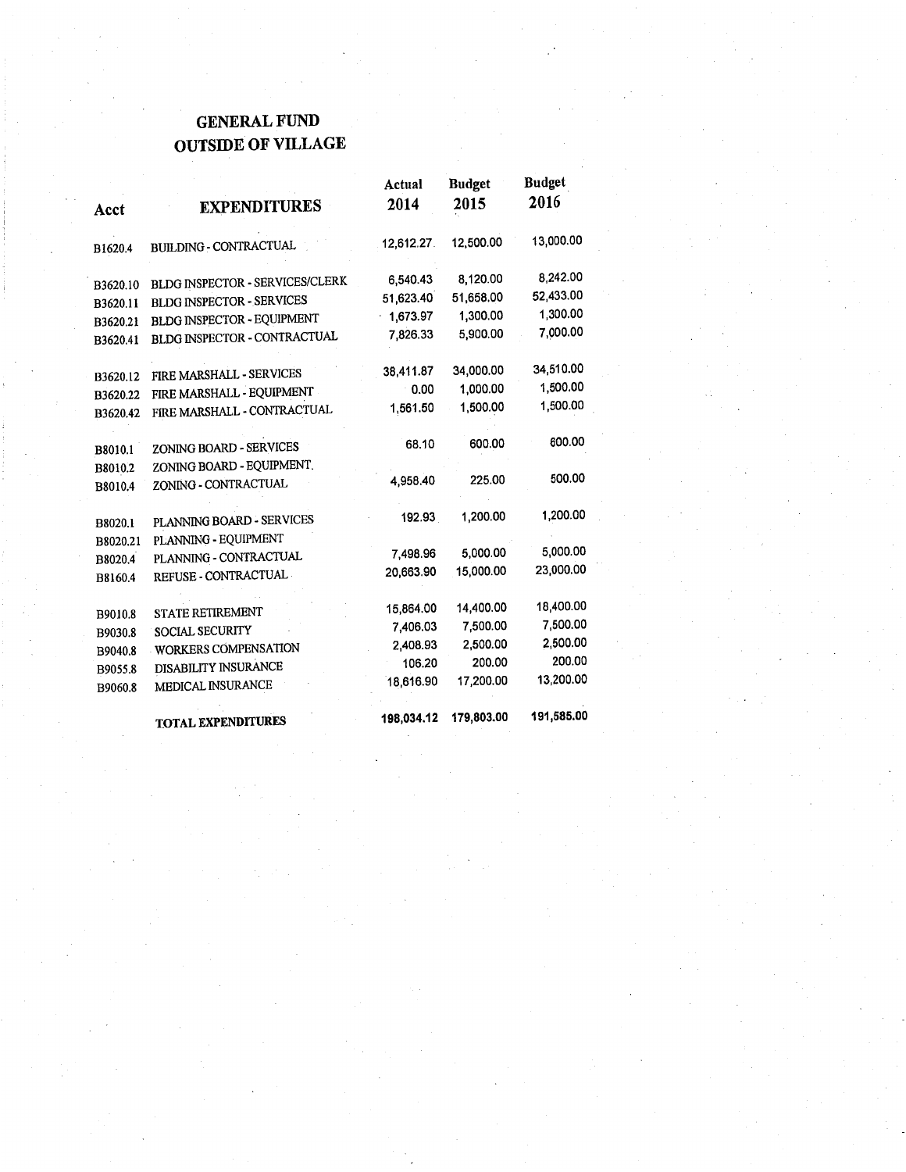### **GENERAL FUND OUTSIDE OF VILLAGE**

|                     |                                                   | Actual     | <b>Budget</b> | Budget     |
|---------------------|---------------------------------------------------|------------|---------------|------------|
| Acct                | <b>EXPENDITURES</b>                               | 2014       | 2015          | 2016       |
| B1620.4             | <b>BUILDING - CONTRACTUAL</b>                     | 12,612.27  | 12,500.00     | 13,000.00  |
| B3620.10            | BLDG INSPECTOR - SERVICES/CLERK                   | 6,540.43   | 8,120.00      | 8.242.00   |
| B3620.11            | <b>BLDG INSPECTOR - SERVICES</b>                  | 51,623.40  | 51,658.00     | 52,433.00  |
| B3620.21            | BLDG INSPECTOR - EQUIPMENT                        | 1,673.97   | 1,300.00      | 1.300.00   |
| B3620.41            | BLDG INSPECTOR - CONTRACTUAL                      | 7,826.33   | 5,900.00      | 7,000.00   |
| B3620.12            | FIRE MARSHALL - SERVICES                          | 38,411.87  | 34,000.00     | 34,510.00  |
| B3620.22            | FIRE MARSHALL - EQUIPMENT                         | $-0.00$    | 1.000.00      | 1,500.00   |
| B3620.42            | FIRE MARSHALL - CONTRACTUAL                       | 1,561.50   | 1,500.00      | 1,500.00   |
| B8010.1             | ZONING BOARD - SERVICES                           | 68.10      | 600.00        | 600.00     |
| B8010.2             | ZONING BOARD - EQUIPMENT.                         |            |               |            |
| B8010.4             | ZONING - CONTRACTUAL                              | 4,958.40   | 225.00        | 500.00     |
| B8020.1<br>B8020.21 | PLANNING BOARD - SERVICES<br>PLANNING - EQUIPMENT | 192.93     | 1,200.00      | 1,200.00   |
| B8020.4             | PLANNING - CONTRACTUAL                            | 7,498.96   | 5,000.00      | 5,000.00   |
| B8160.4             | REFUSE - CONTRACTUAL                              | 20,663.90  | 15,000.00     | 23,000.00  |
| B9010.8             | <b>STATE RETIREMENT</b>                           | 15,864.00  | 14,400.00     | 18,400.00  |
| B9030.8             | <b>SOCIAL SECURITY</b>                            | 7,406.03   | 7,500.00      | 7,500.00   |
| B9040.8             | WORKERS COMPENSATION                              | 2,408.93   | 2,500.00      | 2,500.00   |
| B9055.8             | DISABILITY INSURANCE                              | 106.20     | 200.00        | 200.00     |
| B9060.8             | MEDICAL INSURANCE                                 | 18,616.90  | 17,200.00     | 13,200.00  |
|                     | <b>TOTAL EXPENDITURES</b>                         | 198,034.12 | 179,803.00    | 191,585.00 |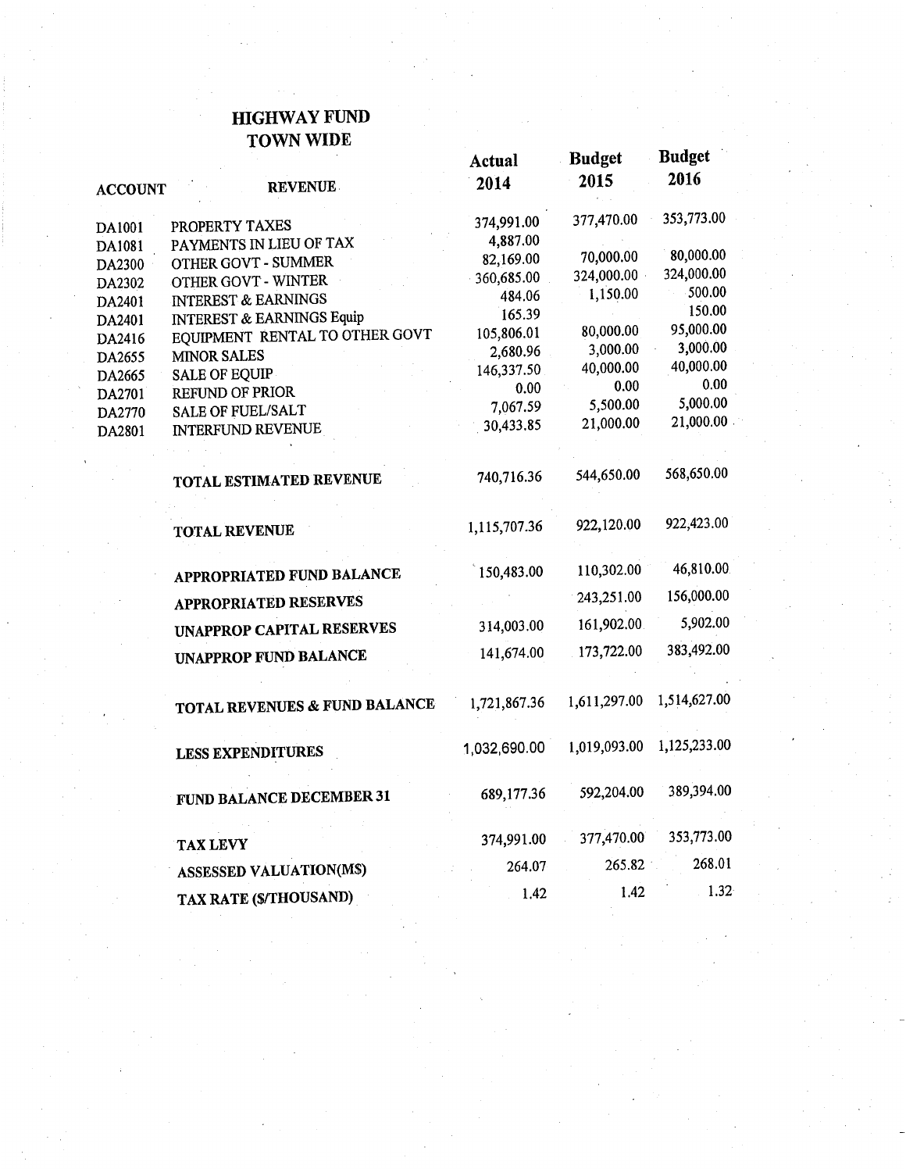#### **HIGHWAY FUND TOWN WIDE**

| <b>ACCOUNT</b>   | <b>REVENUE</b>                       | Actual<br>2014 | <b>Budget</b><br>2015 | <b>Budget</b><br>2016 |
|------------------|--------------------------------------|----------------|-----------------------|-----------------------|
|                  | PROPERTY TAXES                       | 374,991.00     | 377,470.00            | 353,773.00            |
| DA1001           | PAYMENTS IN LIEU OF TAX              | 4,887.00       |                       |                       |
| DA1081           | OTHER GOVT - SUMMER                  | 82,169.00      | 70,000.00             | 80,000.00             |
| DA2300           | OTHER GOVT - WINTER                  | $-360,685.00$  | 324,000.00            | 324,000.00            |
| DA2302<br>DA2401 | <b>INTEREST &amp; EARNINGS</b>       | 484.06         | 1,150.00              | 500.00                |
| DA2401           | <b>INTEREST &amp; EARNINGS Equip</b> | 165.39         |                       | 150.00                |
| DA2416           | EQUIPMENT RENTAL TO OTHER GOVT       | 105,806.01     | 80,000.00             | 95,000.00             |
| DA2655           | <b>MINOR SALES</b>                   | 2,680.96       | 3,000.00              | 3,000.00              |
| DA2665           | <b>SALE OF EQUIP</b>                 | 146,337.50     | 40,000.00             | 40,000.00             |
| DA2701           | <b>REFUND OF PRIOR</b>               | 0.00           | 0.00                  | 0.00                  |
| DA2770           | <b>SALE OF FUEL/SALT</b>             | 7,067.59       | 5,500.00              | 5,000.00              |
| DA2801           | INTERFUND REVENUE                    | 30,433.85      | 21,000.00             | 21,000.00             |
|                  | TOTAL ESTIMATED REVENUE              | 740,716.36     | 544,650.00            | 568,650.00            |
|                  | <b>TOTAL REVENUE</b>                 | 1,115,707.36   | 922,120.00            | 922,423.00            |
|                  | APPROPRIATED FUND BALANCE            | 150,483.00     | 110,302.00            | 46,810.00             |
|                  | <b>APPROPRIATED RESERVES</b>         |                | 243,251.00            | 156,000.00            |
|                  | UNAPPROP CAPITAL RESERVES            | 314,003.00     | 161,902.00            | 5,902.00              |
|                  | <b>UNAPPROP FUND BALANCE</b>         | 141,674.00     | 173,722.00            | 383,492.00            |
|                  | TOTAL REVENUES & FUND BALANCE        | 1,721,867.36   | 1,611,297.00          | 1,514,627.00          |
|                  | <b>LESS EXPENDITURES</b>             | 1,032,690.00   | 1,019,093.00          | 1,125,233.00          |
|                  | FUND BALANCE DECEMBER 31             | 689,177.36     | 592,204.00            | 389,394.00            |
|                  | <b>TAX LEVY</b>                      | 374,991.00     | 377,470.00            | 353,773.00            |
|                  | <b>ASSESSED VALUATION(MS)</b>        | 264.07         | 265.82                | 268.01                |
|                  | TAX RATE (\$/THOUSAND)               | 1.42           | 1.42                  | $1.32 \times$         |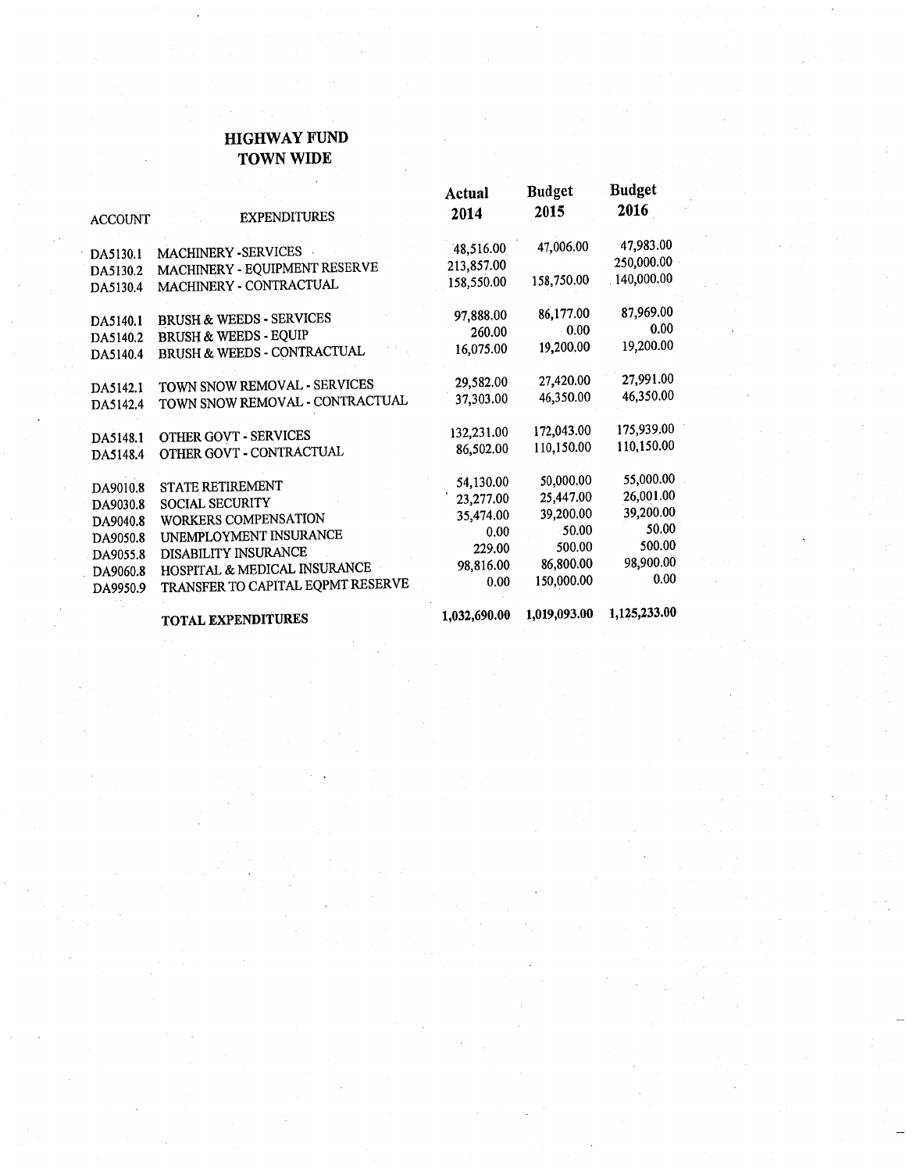#### **HIGHWAY FUND TOWN WIDE**

| <b>ACCOUNT</b>       | <b>EXPENDITURES</b>                 | Actual<br>2014 | <b>Budget</b><br>2015 | <b>Budget</b><br>2016 |
|----------------------|-------------------------------------|----------------|-----------------------|-----------------------|
| DA5130.1             | MACHINERY - SERVICES                | 48,516.00      | 47,006.00             | 47,983.00             |
| DA5130.2             | MACHINERY - EQUIPMENT RESERVE       | 213,857.00     |                       | 250,000.00            |
| DA5130.4             | MACHINERY - CONTRACTUAL             | 158,550.00     | 158,750.00            | 140,000.00            |
|                      |                                     | 97,888.00      | 86,177.00             | 87,969.00             |
| DA5140.1             | <b>BRUSH &amp; WEEDS - SERVICES</b> | 260.00         | $-0.00$               | 0.00                  |
| DA5140.2             | <b>BRUSH &amp; WEEDS - EQUIP</b>    | 16,075.00      | 19,200.00             | 19,200.00             |
| DA5140.4             | BRUSH & WEEDS - CONTRACTUAL         |                |                       |                       |
| DA5142.1             | TOWN SNOW REMOVAL - SERVICES        | 29,582.00      | 27,420.00             | 27,991.00             |
| DA5142.4             | TOWN SNOW REMOVAL - CONTRACTUAL     | 37,303.00      | 46,350.00             | 46,350.00             |
|                      |                                     |                |                       |                       |
| DA5148.1             | OTHER GOVT - SERVICES               | 132,231.00     | 172,043.00            | 175,939.00            |
| DA5148.4             | OTHER GOVT - CONTRACTUAL            | 86,502.00      | 110,150.00            | 110,150.00            |
| DA9010.8             | STATE RETIREMENT                    | 54,130.00      | 50,000.00             | 55,000.00             |
| DA9030.8             | <b>SOCIAL SECURITY</b>              | 23,277.00      | 25,447.00             | 26,001.00             |
| DA9040.8             | WORKERS COMPENSATION                | 35,474.00      | 39,200.00             | 39,200.00             |
| DA9050.8             | UNEMPLOYMENT INSURANCE              | 0.00           | 50.00                 | 50.00                 |
| DA9055.8             | DISABILITY INSURANCE                | 229.00         | 500.00                | 500.00                |
|                      | HOSPITAL & MEDICAL INSURANCE        | 98,816.00      | 86,800.00             | 98,900.00             |
| DA9060.8<br>DA9950.9 | TRANSFER TO CAPITAL EQPMT RESERVE   | 0.00           | 150,000.00            | 0.00                  |
|                      | <b>TOTAL EXPENDITURES</b>           | 1,032,690.00   | 1,019,093.00          | 1,125,233.00          |

TOTAL EXPENDITURES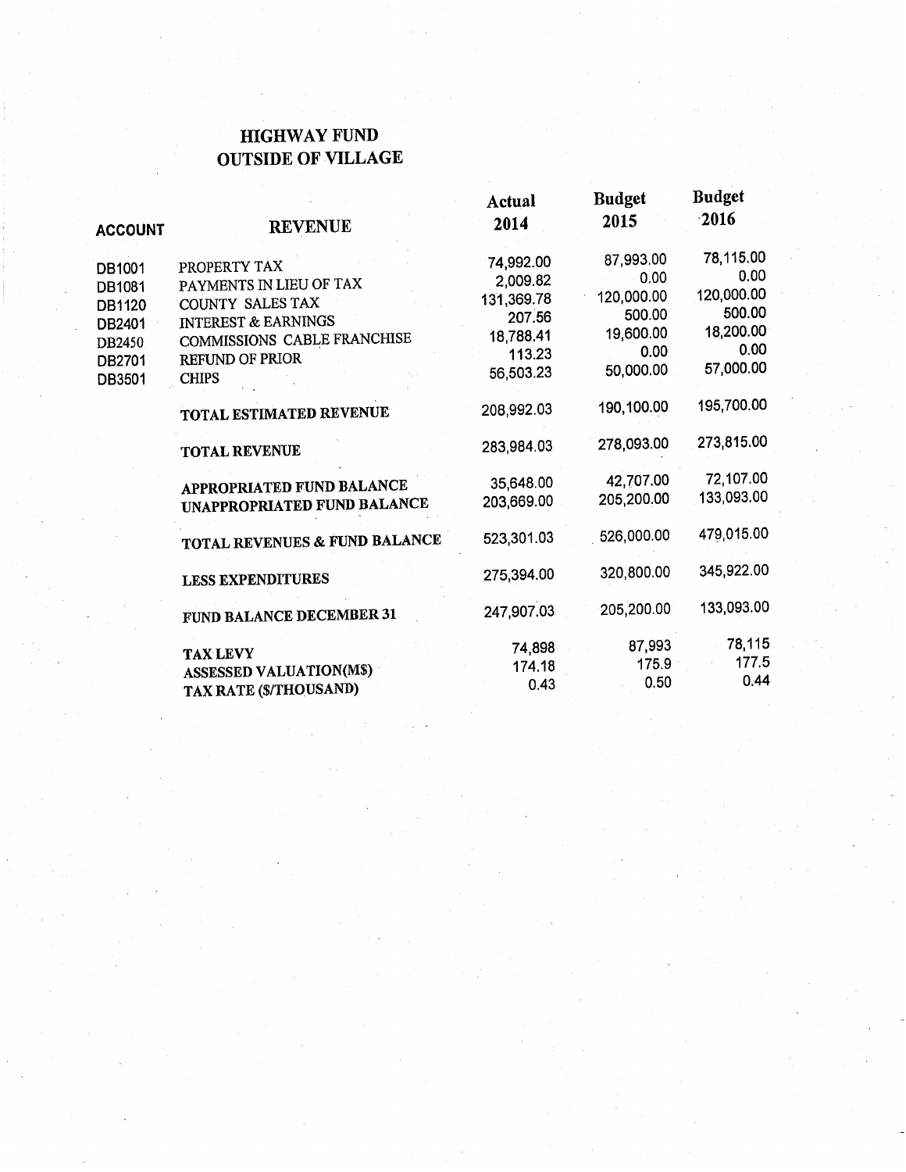### **HIGHWAY FUND OUTSIDE OF VILLAGE**

|                |                                 | Actual     | Budget     | nuaget     |
|----------------|---------------------------------|------------|------------|------------|
| <b>ACCOUNT</b> | <b>REVENUE</b>                  | 2014       | 2015       | 2016       |
| DB1001         | PROPERTY TAX                    | 74,992.00  | 87,993.00  | 78,115.00  |
| DB1081         | PAYMENTS IN LIEU OF TAX         | 2,009.82   | 0.00       | 0.00       |
| DB1120         | COUNTY SALES TAX                | 131,369.78 | 120,000.00 | 120,000.00 |
| DB2401         | <b>INTEREST &amp; EARNINGS</b>  | 207.56     | 500.00     | 500.00     |
| DB2450         | COMMISSIONS CABLE FRANCHISE     | 18,788.41  | 19,600.00  | 18,200.00  |
| DB2701         | <b>REFUND OF PRIOR</b>          | 113.23     | 0.00       | 0.00       |
| DB3501         | <b>CHIPS</b>                    | 56,503.23  | 50,000.00  | 57,000.00  |
|                | TOTAL ESTIMATED REVENUE         | 208,992.03 | 190,100.00 | 195,700.00 |
|                | <b>TOTAL REVENUE</b>            | 283,984.03 | 278,093.00 | 273,815.00 |
|                | APPROPRIATED FUND BALANCE       | 35,648.00  | 42,707.00  | 72,107.00  |
|                | UNAPPROPRIATED FUND BALANCE     | 203,669.00 | 205,200.00 | 133,093.00 |
|                | TOTAL REVENUES & FUND BALANCE   | 523,301.03 | 526,000.00 | 479,015.00 |
|                | <b>LESS EXPENDITURES</b>        | 275,394.00 | 320,800.00 | 345,922.00 |
|                | <b>FUND BALANCE DECEMBER 31</b> | 247,907.03 | 205,200.00 | 133,093.00 |
|                | <b>TAX LEVY</b>                 | 74,898     | 87,993     | 78,115     |
|                | <b>ASSESSED VALUATION(M\$)</b>  | 174.18     | 175.9      | 177.5      |
|                | TAX RATE (\$/THOUSAND)          | 0.43       | 0.50       | 0.44       |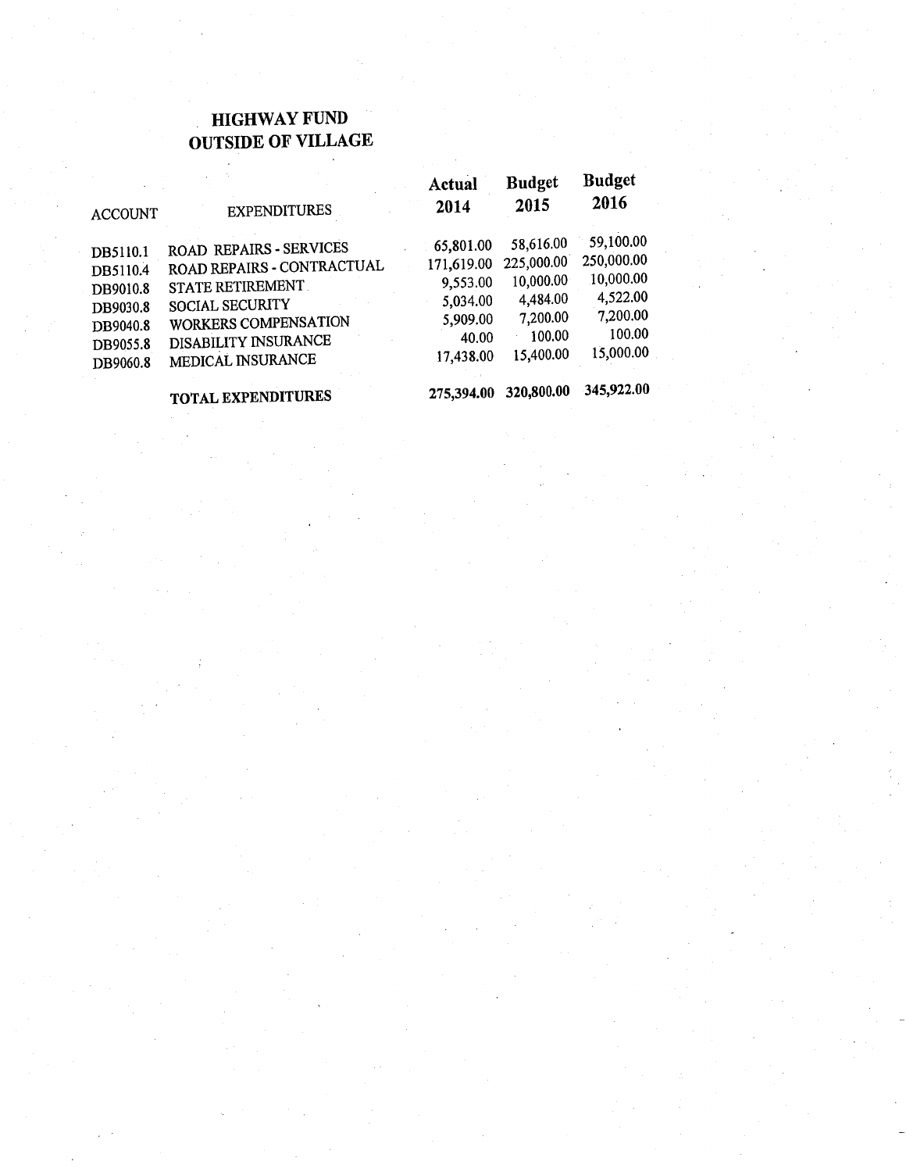### **HIGHWAY FUND OUTSIDE OF VILLAGE**

 $\epsilon$ 

 $\bar{z}$ 

| <b>ACCOUNT</b>       | <b>EXPENDITURES</b>        | Actual<br>2014 | <b>Budget</b><br>2015 | <b>Buaget</b><br>2016 |
|----------------------|----------------------------|----------------|-----------------------|-----------------------|
| DB5110.1             | ROAD REPAIRS - SERVICES    | 65,801.00      | 58,616.00             | 59,100.00             |
| DB5110.4             | ROAD REPAIRS - CONTRACTUAL | 171,619.00     | 225,000.00            | 250,000.00            |
| DB9010.8             | STATE RETIREMENT.          | 9,553.00       | 10,000.00             | 10,000.00             |
| DB9030.8             | <b>SOCIAL SECURITY</b>     | 5,034.00       | 4,484.00              | 4,522.00              |
|                      | WORKERS COMPENSATION       | 5,909.00       | 7,200.00              | 7,200.00              |
| DB9040.8             | DISABILITY INSURANCE       | 40.00          | 100.00                | 100.00                |
| DB9055.8<br>DB9060.8 | MEDICAL INSURANCE          | 17,438.00      | 15,400.00             | 15,000.00             |
|                      | TOTAL EVERYDITHERS         | 275.394.00     | 320,800.00            | 345,922.00            |

**TOTAL EXPENDITURES**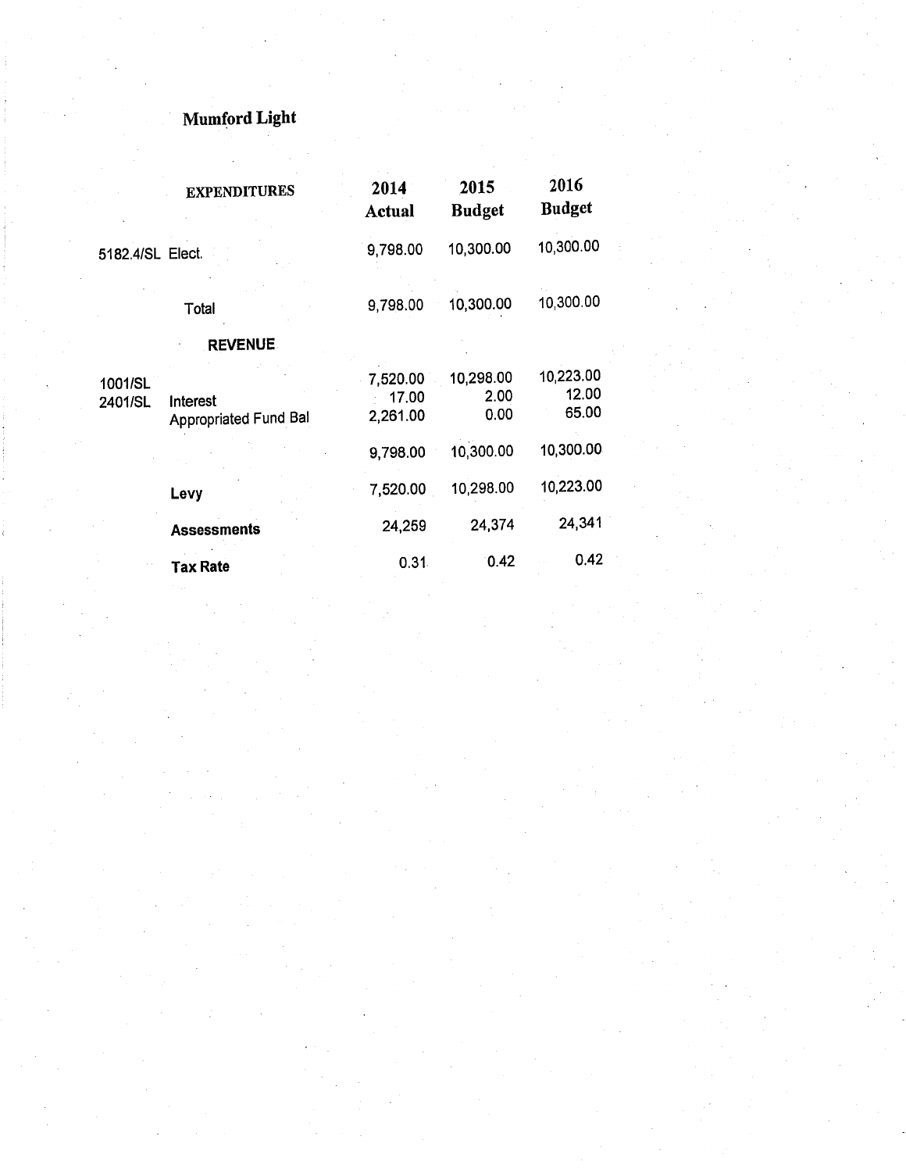# **Mumford Light**

|                    | <b>EXPENDITURES</b>               | 2014<br>Actual                | 2015<br><b>Budget</b>     | 2016<br><b>Budget</b>       |
|--------------------|-----------------------------------|-------------------------------|---------------------------|-----------------------------|
| 5182.4/SL Elect.   |                                   | 9,798.00                      | 10,300.00                 | 10,300.00                   |
|                    | Total                             | 9,798.00                      | 10,300.00                 | 10,300.00                   |
|                    | <b>REVENUE</b>                    |                               |                           |                             |
| 1001/SL<br>2401/SL | Interest<br>Appropriated Fund Bal | 7,520.00<br>17,00<br>2,261.00 | 10,298.00<br>2.00<br>0.00 | 10,223.00<br>12.00<br>65.00 |
|                    |                                   | 9,798.00                      | 10,300.00                 | 10,300.00                   |
|                    | Levy                              | 7,520.00                      | 10,298.00                 | 10,223.00                   |
|                    | <b>Assessments</b>                | 24,259                        | 24,374                    | 24,341                      |
|                    | <b>Tax Rate</b>                   | 0.31                          | 0.42                      | 0.42                        |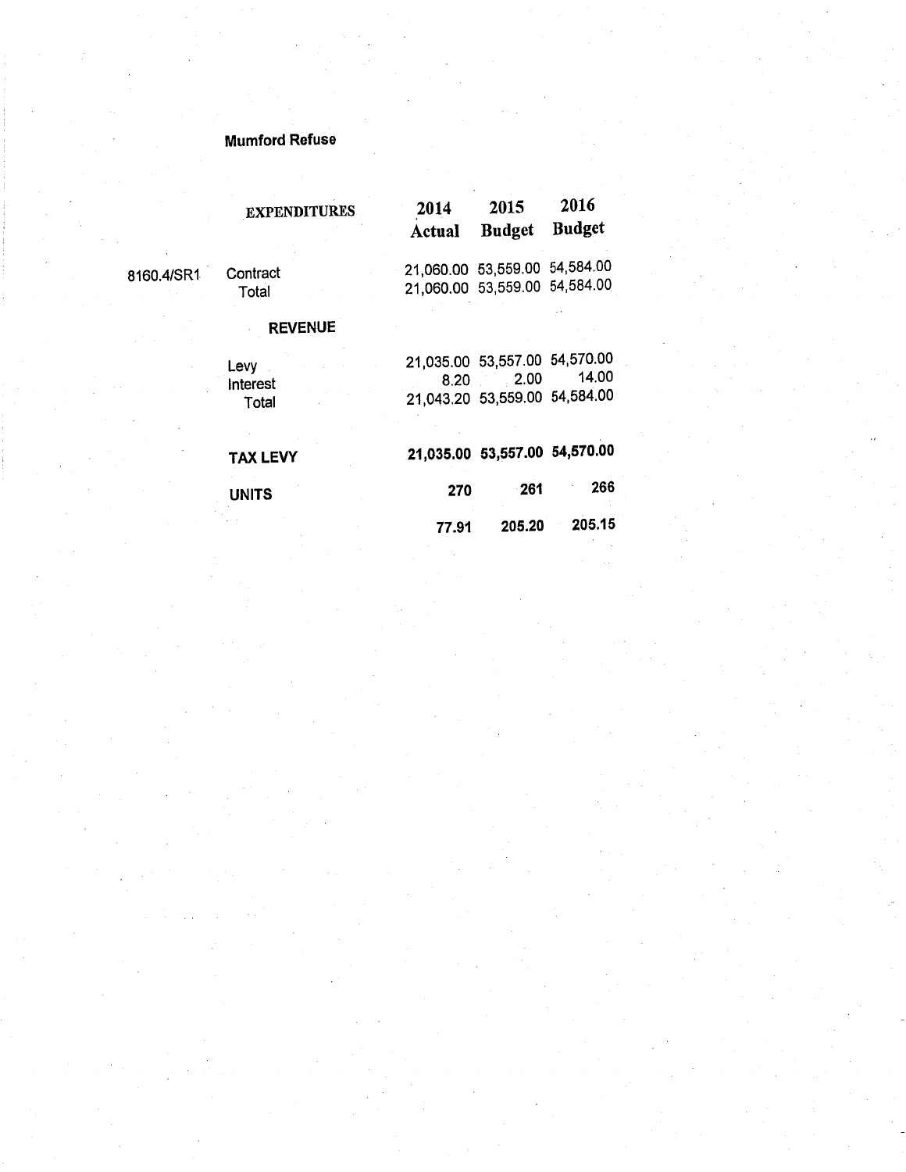### **Mumford Refuse**

|            | <b>EXPENDITURES</b>       | 2014<br>Actual | 2015<br><b>Budget</b>                                                  | 2016<br><b>Budget</b> |
|------------|---------------------------|----------------|------------------------------------------------------------------------|-----------------------|
| 8160.4/SR1 | Contract<br>Total         |                | 21,060.00 53,559.00 54,584.00<br>21,060.00 53,559.00 54,584.00         |                       |
|            | <b>REVENUE</b>            |                |                                                                        |                       |
|            | Levy<br>Interest<br>Total | 8.20           | 21,035.00 53,557.00 54,570.00<br>2.00<br>21,043.20 53,559.00 54,584.00 | 14.00                 |
|            | <b>TAX LEVY</b>           |                | 21,035.00 53,557.00 54,570.00                                          |                       |
|            | <b>UNITS</b>              | 270            | ∘261                                                                   | 266                   |
|            |                           | 77.91          | 205.20                                                                 | 205.15                |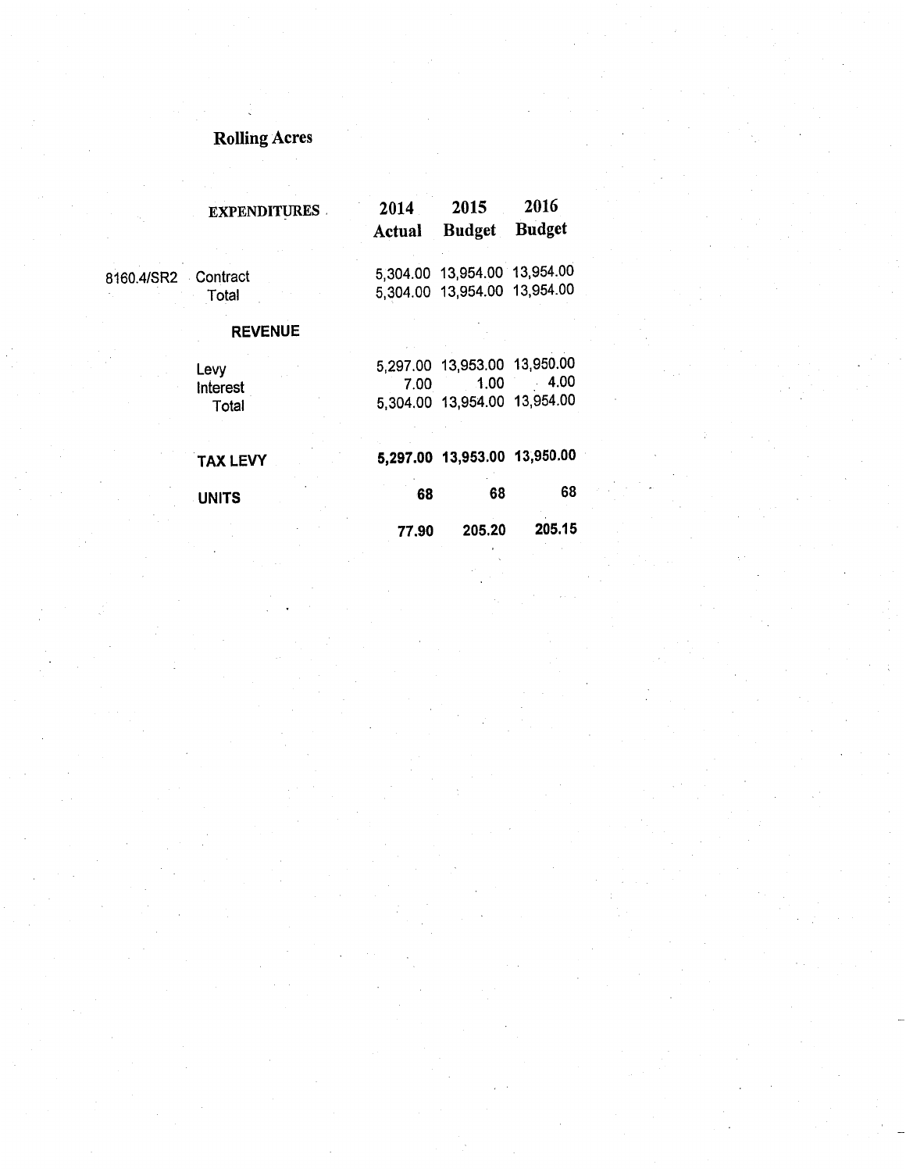# **Rolling Acres**

|                     | <b>EXPENDITURES</b>       | 2014<br>Actual | 2015<br><b>Budget</b>                                                | 2016<br><b>Budget</b> |
|---------------------|---------------------------|----------------|----------------------------------------------------------------------|-----------------------|
| 8160.4/SR2 Contract | Total                     |                | 5,304.00 13,954.00 13,954.00<br>5,304.00 13,954.00 13,954.00         |                       |
|                     | <b>REVENUE</b>            |                |                                                                      |                       |
|                     | Levy<br>Interest<br>Total | 7.00           | 5,297.00 13,953.00 13,950.00<br>1.00<br>5,304.00 13,954.00 13,954.00 | $-4.00$               |
|                     | <b>TAX LEVY</b>           |                | 5,297.00 13,953.00 13,950.00                                         |                       |
|                     | <b>UNITS</b>              | 68             | 68                                                                   | 68                    |
|                     |                           | 77.90          | 205.20                                                               | 205.15                |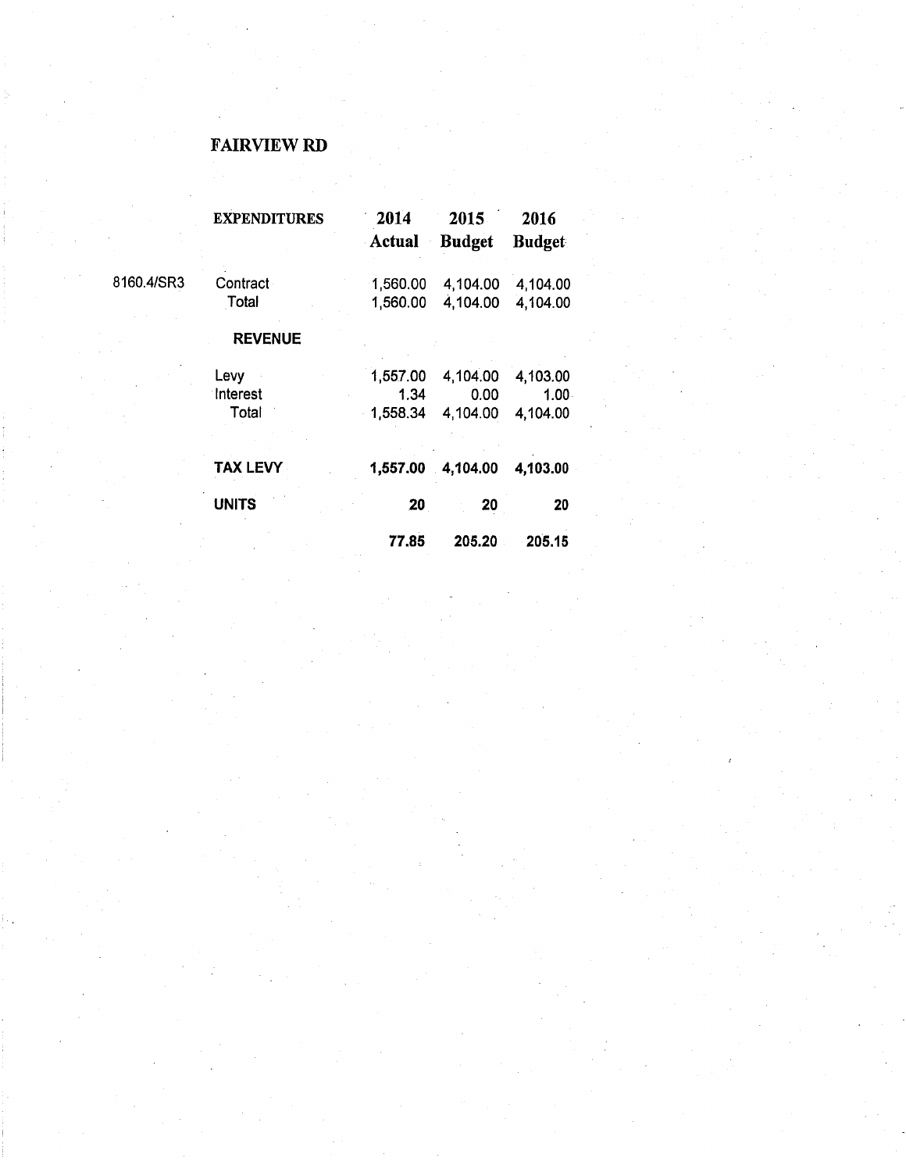### **FAIRVIEW RD**

|            | <b>EXPENDITURES</b> | 2014     | 2015          | 2016          |
|------------|---------------------|----------|---------------|---------------|
|            |                     | Actual   | <b>Budget</b> | <b>Budget</b> |
| 8160.4/SR3 | Contract            | 1,560.00 | 4,104.00      | 4,104.00      |
|            | Total               | 1,560.00 | 4,104.00      | 4,104.00      |
|            | <b>REVENUE</b>      |          |               |               |
|            | Levy                | 1,557.00 | 4,104.00      | 4,103.00      |
|            | Interest            | 1.34     | 0.00          | $1.00 -$      |
|            | Total               | 1,558.34 | 4,104.00      | 4,104.00      |
|            | <b>TAX LEVY</b>     | 1,557.00 | $-4,104.00$   | 4,103.00      |
|            | <b>UNITS</b>        | 20       | 20            | 20            |
|            |                     | 77.85    | 205.20        | 205.15        |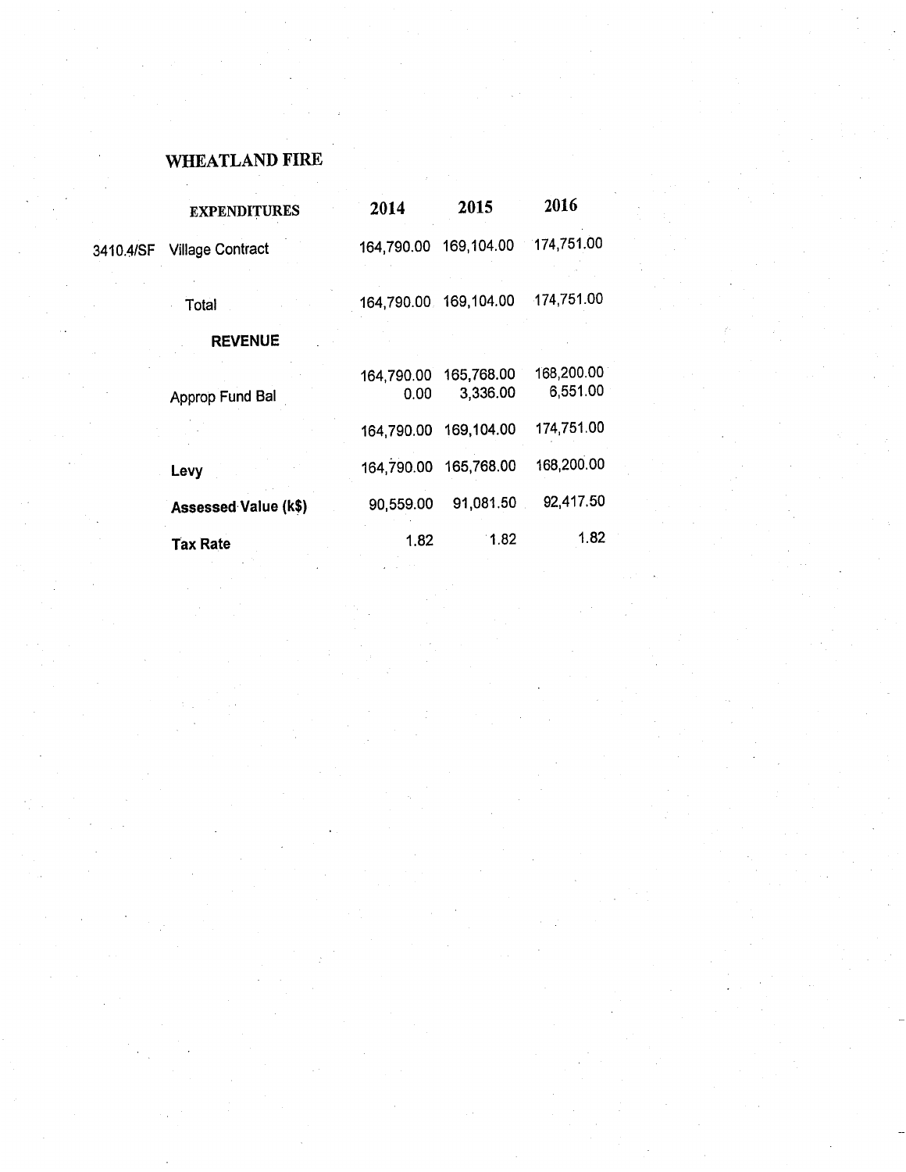# WHEATLAND FIRE

|           | <b>EXPENDITURES</b>         | 2014               | 2015                   | 2016                   |
|-----------|-----------------------------|--------------------|------------------------|------------------------|
| 3410.4/SF | <b>Village Contract</b>     | 164,790.00         | 169,104.00             | 174,751.00             |
|           | Total                       |                    | 164,790.00 169,104.00  | 174,751.00             |
|           | <b>REVENUE</b>              |                    |                        |                        |
|           | Approp Fund Bal             | 164,790.00<br>0.00 | 165,768.00<br>3,336.00 | 168,200.00<br>6,551.00 |
|           |                             | 164,790.00         | 169,104.00             | 174,751.00             |
|           | Levy                        | 164,790.00         | 165,768.00             | 168,200.00             |
|           | <b>Assessed Value (k\$)</b> | 90,559.00          | 91,081.50              | 92,417.50              |
|           | <b>Tax Rate</b>             | 1.82               | 1.82                   | 1.82                   |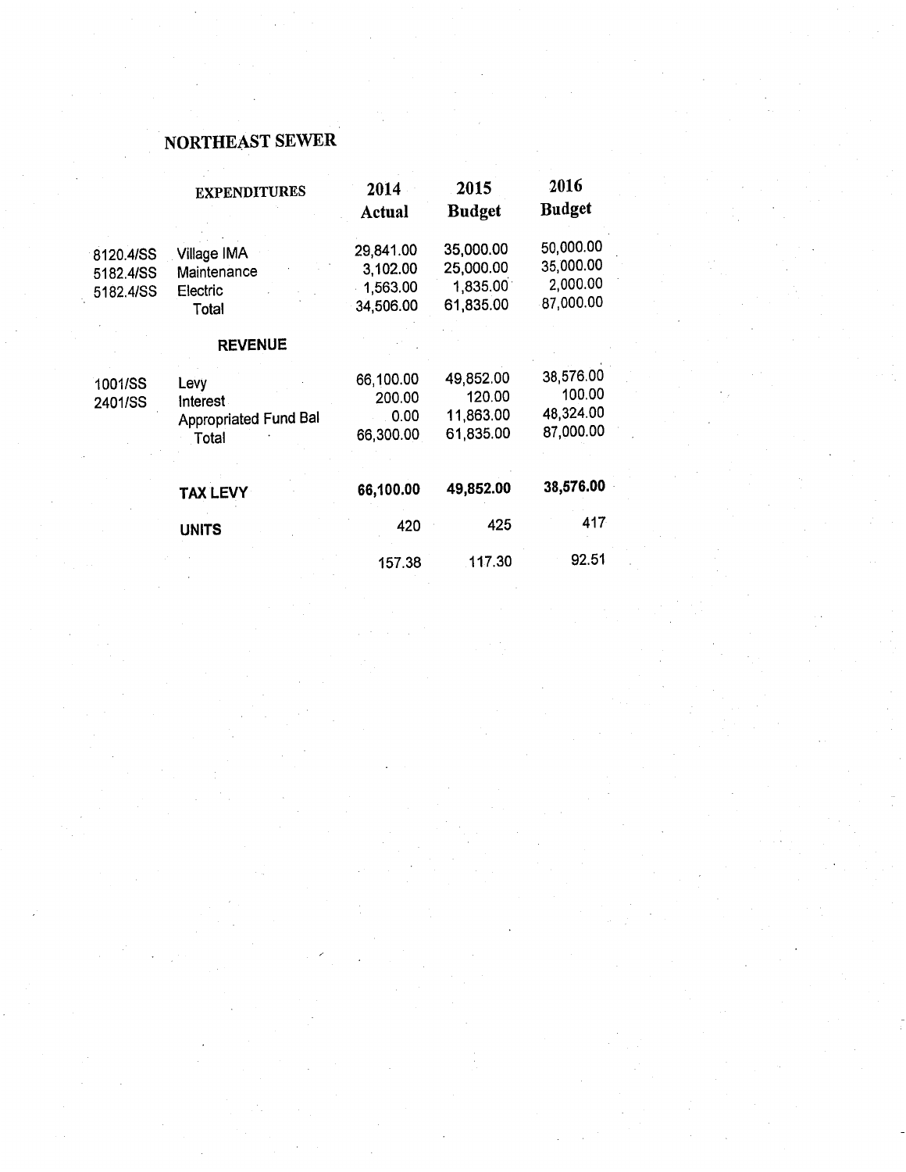## NORTHEAST SEWER

|                                     | <b>EXPENDITURES</b>                                       | 2014<br>Actual                                 | 2015<br><b>Budget</b>                           | 2016<br><b>Budget</b>                           |
|-------------------------------------|-----------------------------------------------------------|------------------------------------------------|-------------------------------------------------|-------------------------------------------------|
| 8120.4/SS<br>5182.4/SS<br>5182.4/SS | Village IMA<br>Maintenance<br>Electric<br>Total           | 29,841.00<br>3,102.00<br>1,563.00<br>34,506.00 | 35,000.00<br>25,000.00<br>1,835.00<br>61,835.00 | 50,000.00<br>35,000.00<br>2,000.00<br>87,000.00 |
|                                     | <b>REVENUE</b>                                            |                                                |                                                 |                                                 |
| 1001/SS<br>2401/SS                  | Levy<br>Interest<br><b>Appropriated Fund Bal</b><br>Total | 66,100.00<br>200.00<br>0.00<br>66,300.00       | 49,852.00<br>120.00<br>11,863.00<br>61,835.00   | 38,576.00<br>100.00<br>48,324.00<br>87,000.00   |
|                                     | <b>TAX LEVY</b>                                           | 66,100.00                                      | 49,852.00                                       | 38,576.00                                       |
|                                     | <b>UNITS</b>                                              | 420                                            | 425                                             | 417                                             |
|                                     |                                                           | 157.38                                         | 117.30                                          | 92.51                                           |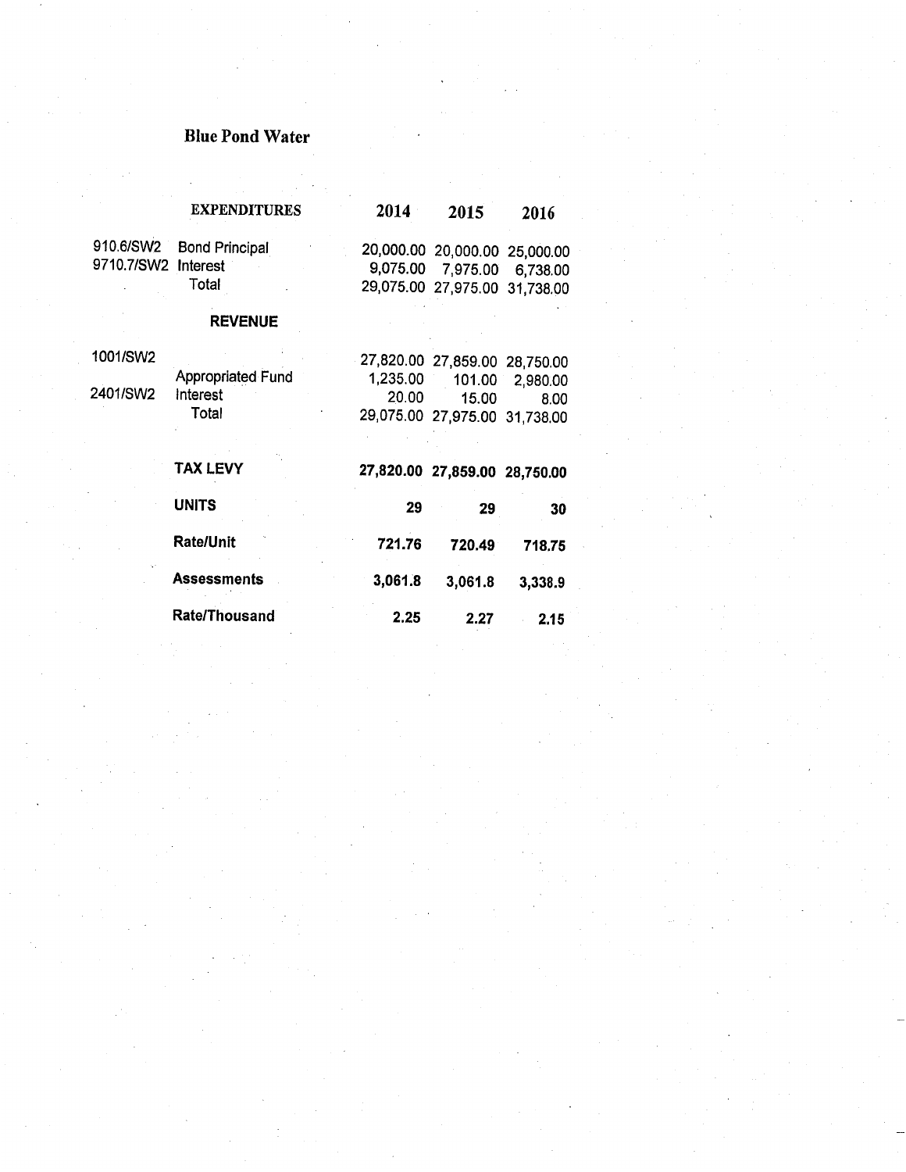## **Blue Pond Water**

 $\ddot{\phantom{a}}$ 

|                     | <b>EXPENDITURES</b>   | 2014     | 2015                          | 2016            |
|---------------------|-----------------------|----------|-------------------------------|-----------------|
| 910.6/SW2           | <b>Bond Principal</b> |          | 20,000.00 20,000.00 25,000.00 |                 |
| 9710.7/SW2 Interest |                       |          | 9,075.00 7,975.00 6,738.00    |                 |
|                     | Total                 |          | 29,075.00 27,975.00 31,738.00 |                 |
|                     | <b>REVENUE</b>        |          |                               |                 |
| 1001/SW2            |                       |          | 27,820.00 27,859.00 28,750.00 |                 |
|                     | Appropriated Fund     | 1,235.00 |                               | 101.00 2,980.00 |
| 2401/SW2            | Interest              | 20.00    | 15.00                         | 8.00            |
|                     | Total                 |          | 29,075.00 27,975.00 31,738.00 |                 |
|                     | <b>TAX LEVY</b>       |          | 27,820.00 27,859.00 28,750.00 |                 |
|                     | <b>UNITS</b>          | 29       | 29                            | 30              |
|                     | <b>Rate/Unit</b>      | 721.76   | 720.49                        | 718.75          |
|                     | <b>Assessments</b>    | 3,061.8  | 3,061.8                       | 3,338.9         |
|                     | <b>Rate/Thousand</b>  | 2.25     | 2.27                          | 2.15            |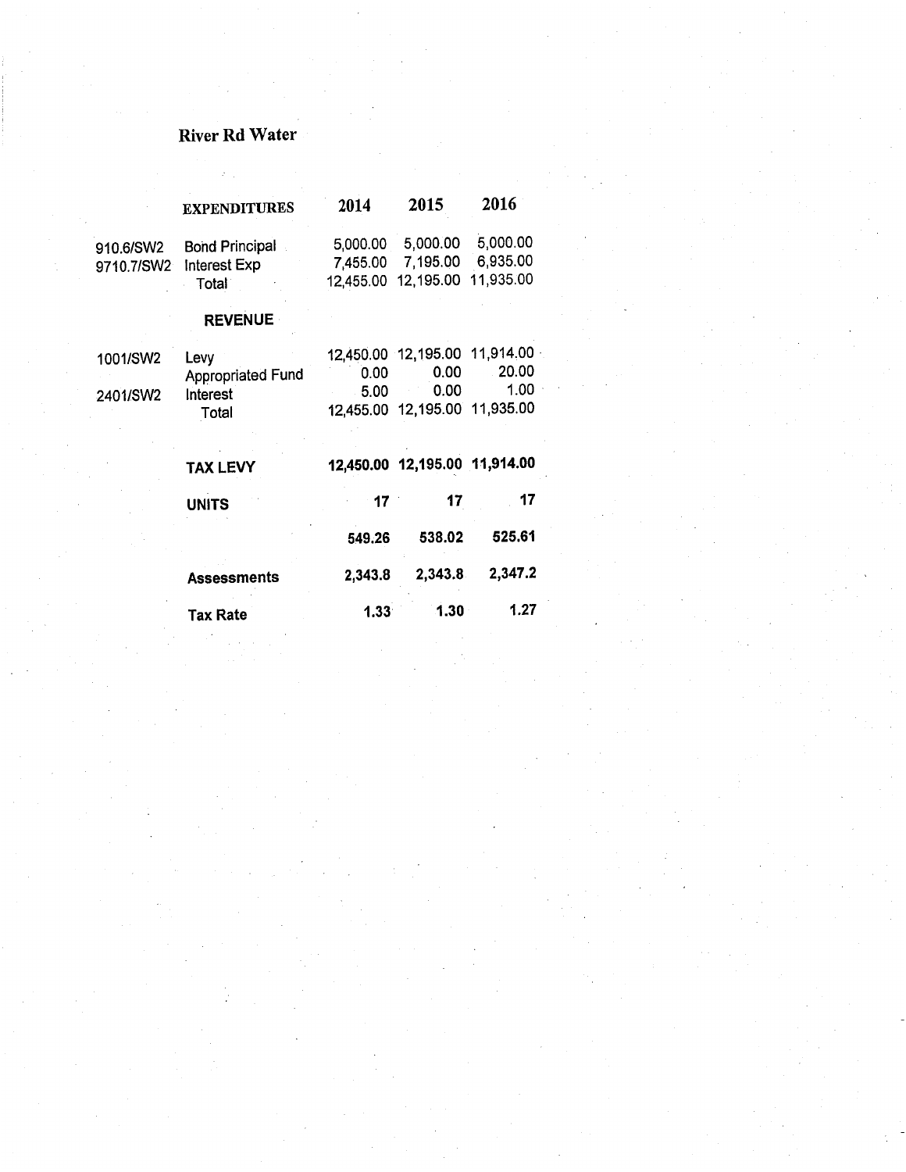# River Rd Water

 $\mathcal{L}(\mathcal{Q})$ 

|                         | <b>EXPENDITURES</b>                                   | 2014                              | 2015                                  | 2016                              |
|-------------------------|-------------------------------------------------------|-----------------------------------|---------------------------------------|-----------------------------------|
| 910.6/SW2<br>9710.7/SW2 | <b>Bond Principal</b><br><b>Interest Exp</b><br>Total | 5,000.00<br>7,455.00<br>12,455.00 | 5,000.00<br>7,195.00<br>12,195.00     | 5,000.00<br>6,935.00<br>11,935.00 |
|                         | <b>REVENUE</b>                                        |                                   |                                       |                                   |
| 1001/SW2                | Levy                                                  |                                   | 12,450.00 12,195.00                   | 11,914.00                         |
|                         | <b>Appropriated Fund</b>                              | 0.00                              | 0.00                                  | 20.00                             |
| 2401/SW2                | Interest<br>Total                                     | 5.00                              | 0.00<br>12,455.00 12,195.00 11,935.00 | 1.00                              |
|                         | <b>TAX LEVY</b>                                       |                                   | 12,450.00 12,195.00                   | 11,914.00                         |
|                         | <b>UNITS</b>                                          | 17                                | 17                                    | 17                                |
|                         |                                                       | 549.26                            | 538.02                                | 525.61                            |
|                         | <b>Assessments</b>                                    | 2,343.8                           | 2,343.8                               | 2,347.2                           |
|                         | <b>Tax Rate</b>                                       | 1.33                              | 1.30                                  | 1.27                              |